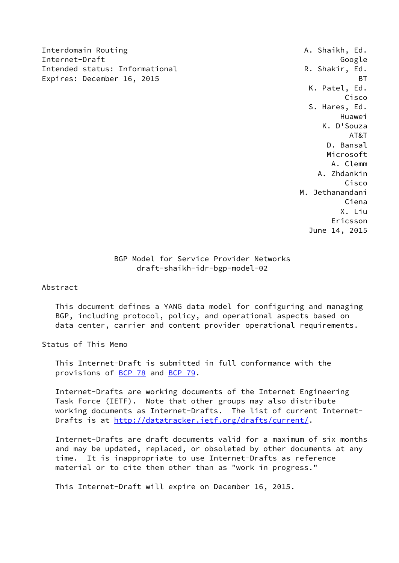Interdomain Routing **A. Shaikh, Ed.** A. Shaikh, Ed. Internet-Draft Google Intended status: Informational The R. Shakir, Ed. Expires: December 16, 2015 BT

 K. Patel, Ed. Cisco S. Hares, Ed. Huawei K. D'Souza AT&T D. Bansal Microsoft A. Clemm A. Zhdankin Cisco M. Jethanandani Ciena X. Liu Ericsson June 14, 2015

> BGP Model for Service Provider Networks draft-shaikh-idr-bgp-model-02

Abstract

 This document defines a YANG data model for configuring and managing BGP, including protocol, policy, and operational aspects based on data center, carrier and content provider operational requirements.

Status of This Memo

 This Internet-Draft is submitted in full conformance with the provisions of [BCP 78](https://datatracker.ietf.org/doc/pdf/bcp78) and [BCP 79](https://datatracker.ietf.org/doc/pdf/bcp79).

 Internet-Drafts are working documents of the Internet Engineering Task Force (IETF). Note that other groups may also distribute working documents as Internet-Drafts. The list of current Internet Drafts is at<http://datatracker.ietf.org/drafts/current/>.

 Internet-Drafts are draft documents valid for a maximum of six months and may be updated, replaced, or obsoleted by other documents at any time. It is inappropriate to use Internet-Drafts as reference material or to cite them other than as "work in progress."

This Internet-Draft will expire on December 16, 2015.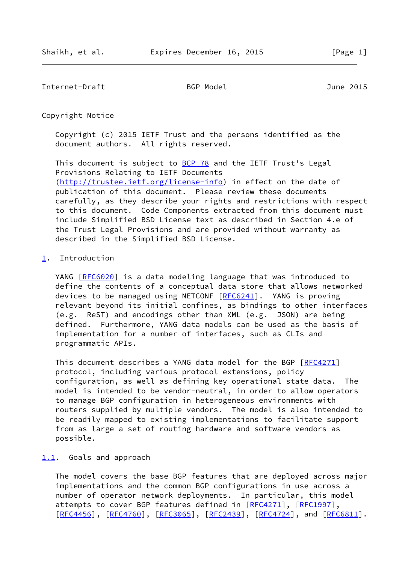Internet-Draft BGP Model June 2015

Copyright Notice

 Copyright (c) 2015 IETF Trust and the persons identified as the document authors. All rights reserved.

This document is subject to **[BCP 78](https://datatracker.ietf.org/doc/pdf/bcp78)** and the IETF Trust's Legal Provisions Relating to IETF Documents [\(http://trustee.ietf.org/license-info](http://trustee.ietf.org/license-info)) in effect on the date of publication of this document. Please review these documents carefully, as they describe your rights and restrictions with respect to this document. Code Components extracted from this document must include Simplified BSD License text as described in Section 4.e of the Trust Legal Provisions and are provided without warranty as described in the Simplified BSD License.

### <span id="page-1-0"></span>[1](#page-1-0). Introduction

YANG [\[RFC6020](https://datatracker.ietf.org/doc/pdf/rfc6020)] is a data modeling language that was introduced to define the contents of a conceptual data store that allows networked devices to be managed using NETCONF [\[RFC6241](https://datatracker.ietf.org/doc/pdf/rfc6241)]. YANG is proving relevant beyond its initial confines, as bindings to other interfaces (e.g. ReST) and encodings other than XML (e.g. JSON) are being defined. Furthermore, YANG data models can be used as the basis of implementation for a number of interfaces, such as CLIs and programmatic APIs.

This document describes a YANG data model for the BGP [[RFC4271](https://datatracker.ietf.org/doc/pdf/rfc4271)] protocol, including various protocol extensions, policy configuration, as well as defining key operational state data. The model is intended to be vendor-neutral, in order to allow operators to manage BGP configuration in heterogeneous environments with routers supplied by multiple vendors. The model is also intended to be readily mapped to existing implementations to facilitate support from as large a set of routing hardware and software vendors as possible.

#### <span id="page-1-1"></span>[1.1](#page-1-1). Goals and approach

 The model covers the base BGP features that are deployed across major implementations and the common BGP configurations in use across a number of operator network deployments. In particular, this model attempts to cover BGP features defined in [[RFC4271](https://datatracker.ietf.org/doc/pdf/rfc4271)], [\[RFC1997](https://datatracker.ietf.org/doc/pdf/rfc1997)], [\[RFC4456](https://datatracker.ietf.org/doc/pdf/rfc4456)], [[RFC4760\]](https://datatracker.ietf.org/doc/pdf/rfc4760), [[RFC3065](https://datatracker.ietf.org/doc/pdf/rfc3065)], [\[RFC2439](https://datatracker.ietf.org/doc/pdf/rfc2439)], [\[RFC4724](https://datatracker.ietf.org/doc/pdf/rfc4724)], and [[RFC6811\]](https://datatracker.ietf.org/doc/pdf/rfc6811).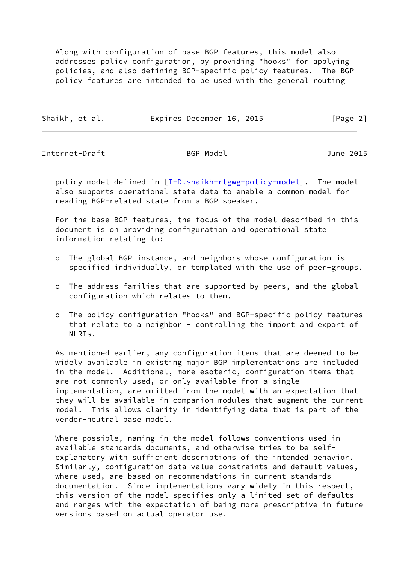Along with configuration of base BGP features, this model also addresses policy configuration, by providing "hooks" for applying policies, and also defining BGP-specific policy features. The BGP policy features are intended to be used with the general routing

| Shaikh, et al. | Expires December 16, 2015 | [Page 2] |
|----------------|---------------------------|----------|
|                |                           |          |

Internet-Draft BGP Model June 2015

policy model defined in  $[I-D.shaikh-rtgwg-policy-model]$  $[I-D.shaikh-rtgwg-policy-model]$ . The model also supports operational state data to enable a common model for reading BGP-related state from a BGP speaker.

 For the base BGP features, the focus of the model described in this document is on providing configuration and operational state information relating to:

- o The global BGP instance, and neighbors whose configuration is specified individually, or templated with the use of peer-groups.
- o The address families that are supported by peers, and the global configuration which relates to them.
- o The policy configuration "hooks" and BGP-specific policy features that relate to a neighbor - controlling the import and export of NLRIs.

 As mentioned earlier, any configuration items that are deemed to be widely available in existing major BGP implementations are included in the model. Additional, more esoteric, configuration items that are not commonly used, or only available from a single implementation, are omitted from the model with an expectation that they will be available in companion modules that augment the current model. This allows clarity in identifying data that is part of the vendor-neutral base model.

 Where possible, naming in the model follows conventions used in available standards documents, and otherwise tries to be self explanatory with sufficient descriptions of the intended behavior. Similarly, configuration data value constraints and default values, where used, are based on recommendations in current standards documentation. Since implementations vary widely in this respect, this version of the model specifies only a limited set of defaults and ranges with the expectation of being more prescriptive in future versions based on actual operator use.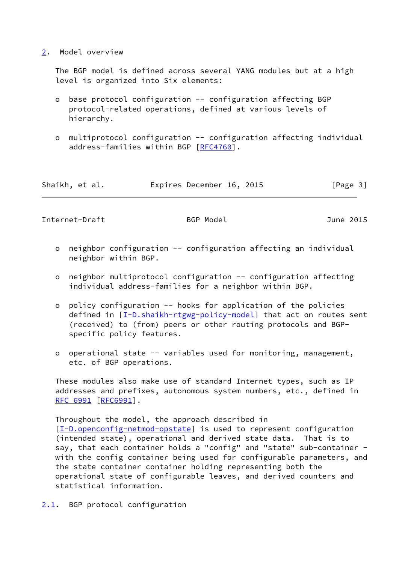### <span id="page-3-0"></span>[2](#page-3-0). Model overview

 The BGP model is defined across several YANG modules but at a high level is organized into Six elements:

- o base protocol configuration -- configuration affecting BGP protocol-related operations, defined at various levels of hierarchy.
- o multiprotocol configuration -- configuration affecting individual address-families within BGP [\[RFC4760](https://datatracker.ietf.org/doc/pdf/rfc4760)].

| Shaikh, et al. | Expires December 16, 2015 | [Page 3] |
|----------------|---------------------------|----------|
|----------------|---------------------------|----------|

Internet-Draft BGP Model June 2015

- o neighbor configuration -- configuration affecting an individual neighbor within BGP.
- o neighbor multiprotocol configuration -- configuration affecting individual address-families for a neighbor within BGP.
- o policy configuration -- hooks for application of the policies defined in [[I-D.shaikh-rtgwg-policy-model\]](#page-81-0) that act on routes sent (received) to (from) peers or other routing protocols and BGP specific policy features.
- o operational state -- variables used for monitoring, management, etc. of BGP operations.

 These modules also make use of standard Internet types, such as IP addresses and prefixes, autonomous system numbers, etc., defined in [RFC 6991](https://datatracker.ietf.org/doc/pdf/rfc6991) [\[RFC6991](https://datatracker.ietf.org/doc/pdf/rfc6991)].

 Throughout the model, the approach described in [\[I-D.openconfig-netmod-opstate](#page-81-1)] is used to represent configuration (intended state), operational and derived state data. That is to say, that each container holds a "config" and "state" sub-container with the config container being used for configurable parameters, and the state container container holding representing both the operational state of configurable leaves, and derived counters and statistical information.

<span id="page-3-1"></span>[2.1](#page-3-1). BGP protocol configuration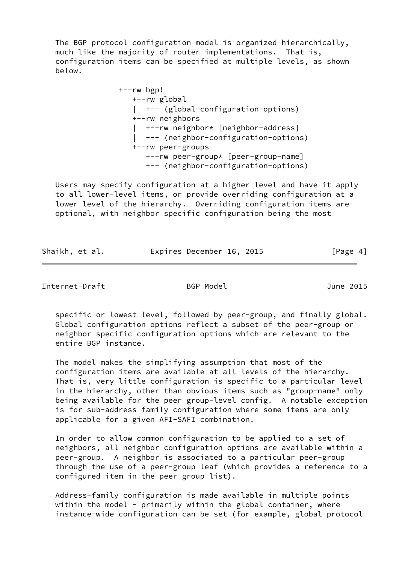The BGP protocol configuration model is organized hierarchically, much like the majority of router implementations. That is, configuration items can be specified at multiple levels, as shown below.

> +--rw bgp! +--rw global | +-- (global-configuration-options) +--rw neighbors | +--rw neighbor\* [neighbor-address] | +-- (neighbor-configuration-options) +--rw peer-groups +--rw peer-group\* [peer-group-name] +-- (neighbor-configuration-options)

 Users may specify configuration at a higher level and have it apply to all lower-level items, or provide overriding configuration at a lower level of the hierarchy. Overriding configuration items are optional, with neighbor specific configuration being the most

| Shaikh, et al. | Expires December 16, 2015 | [Page 4] |
|----------------|---------------------------|----------|
|                |                           |          |

Internet-Draft BGP Model June 2015

 specific or lowest level, followed by peer-group, and finally global. Global configuration options reflect a subset of the peer-group or neighbor specific configuration options which are relevant to the entire BGP instance.

 The model makes the simplifying assumption that most of the configuration items are available at all levels of the hierarchy. That is, very little configuration is specific to a particular level in the hierarchy, other than obvious items such as "group-name" only being available for the peer group-level config. A notable exception is for sub-address family configuration where some items are only applicable for a given AFI-SAFI combination.

 In order to allow common configuration to be applied to a set of neighbors, all neighbor configuration options are available within a peer-group. A neighbor is associated to a particular peer-group through the use of a peer-group leaf (which provides a reference to a configured item in the peer-group list).

 Address-family configuration is made available in multiple points within the model - primarily within the global container, where instance-wide configuration can be set (for example, global protocol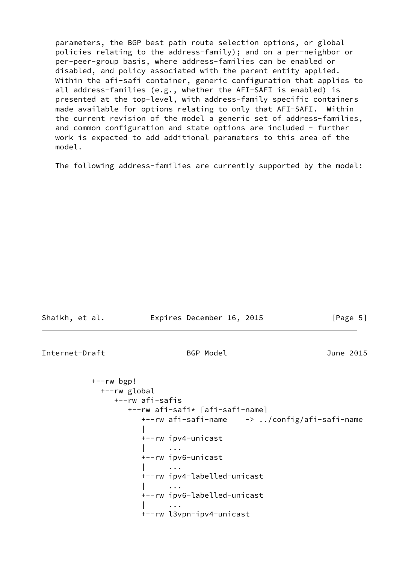parameters, the BGP best path route selection options, or global policies relating to the address-family); and on a per-neighbor or per-peer-group basis, where address-families can be enabled or disabled, and policy associated with the parent entity applied. Within the afi-safi container, generic configuration that applies to all address-families (e.g., whether the AFI-SAFI is enabled) is presented at the top-level, with address-family specific containers made available for options relating to only that AFI-SAFI. Within the current revision of the model a generic set of address-families, and common configuration and state options are included - further work is expected to add additional parameters to this area of the model.

The following address-families are currently supported by the model:

| Internet-Draft               | BGP Model                                          | June 2015 |
|------------------------------|----------------------------------------------------|-----------|
| $+--rw$ bgp!<br>+--rw global | +--rw afi-safis<br>+--rw afi-safi* [afi-safi-name] |           |
|                              |                                                    |           |
|                              |                                                    |           |
|                              | +--rw ipv4-unicast                                 |           |
|                              | $\cdots$                                           |           |
|                              | +--rw ipv6-unicast                                 |           |
|                              | $\cdots$                                           |           |
|                              | +--rw ipv4-labelled-unicast                        |           |
|                              |                                                    |           |
|                              | +--rw ipv6-labelled-unicast                        |           |
|                              |                                                    |           |
|                              | +--rw l3vpn-ipv4-unicast                           |           |
|                              |                                                    |           |

Shaikh, et al. **Expires December 16, 2015** [Page 5]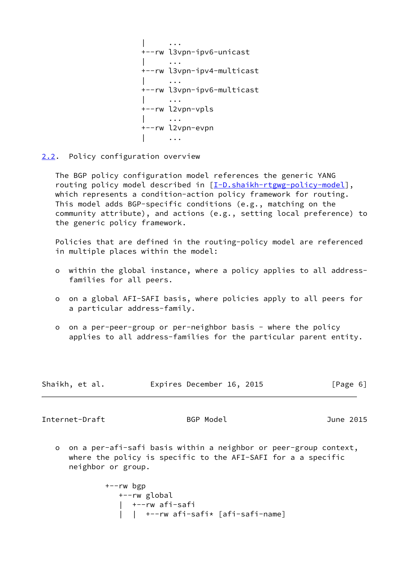| ... +--rw l3vpn-ipv6-unicast | ... +--rw l3vpn-ipv4-multicast | ... +--rw l3vpn-ipv6-multicast | ... +--rw l2vpn-vpls | ... +--rw l2vpn-evpn | ...

<span id="page-6-0"></span>[2.2](#page-6-0). Policy configuration overview

 The BGP policy configuration model references the generic YANG routing policy model described in [[I-D.shaikh-rtgwg-policy-model\]](#page-81-0), which represents a condition-action policy framework for routing. This model adds BGP-specific conditions (e.g., matching on the community attribute), and actions (e.g., setting local preference) to the generic policy framework.

 Policies that are defined in the routing-policy model are referenced in multiple places within the model:

- o within the global instance, where a policy applies to all address families for all peers.
- o on a global AFI-SAFI basis, where policies apply to all peers for a particular address-family.
- o on a per-peer-group or per-neighbor basis where the policy applies to all address-families for the particular parent entity.

| Shaikh, et al. | Expires December 16, 2015 |  | [Page 6] |
|----------------|---------------------------|--|----------|
|----------------|---------------------------|--|----------|

Internet-Draft BGP Model BGP Model June 2015

 o on a per-afi-safi basis within a neighbor or peer-group context, where the policy is specific to the AFI-SAFI for a a specific neighbor or group.

> +--rw bgp +--rw global | +--rw afi-safi | | +--rw afi-safi\* [afi-safi-name]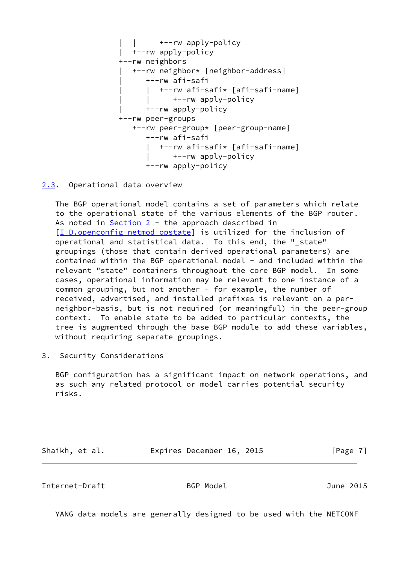

<span id="page-7-0"></span>[2.3](#page-7-0). Operational data overview

 The BGP operational model contains a set of parameters which relate to the operational state of the various elements of the BGP router. As noted in [Section 2](#page-3-0) - the approach described in [\[I-D.openconfig-netmod-opstate](#page-81-1)] is utilized for the inclusion of operational and statistical data. To this end, the "\_state" groupings (those that contain derived operational parameters) are contained within the BGP operational model - and included within the relevant "state" containers throughout the core BGP model. In some cases, operational information may be relevant to one instance of a common grouping, but not another - for example, the number of received, advertised, and installed prefixes is relevant on a per neighbor-basis, but is not required (or meaningful) in the peer-group context. To enable state to be added to particular contexts, the tree is augmented through the base BGP module to add these variables, without requiring separate groupings.

<span id="page-7-1"></span>[3](#page-7-1). Security Considerations

 BGP configuration has a significant impact on network operations, and as such any related protocol or model carries potential security risks.

Shaikh, et al. **Expires December 16, 2015** [Page 7]

Internet-Draft BGP Model June 2015

YANG data models are generally designed to be used with the NETCONF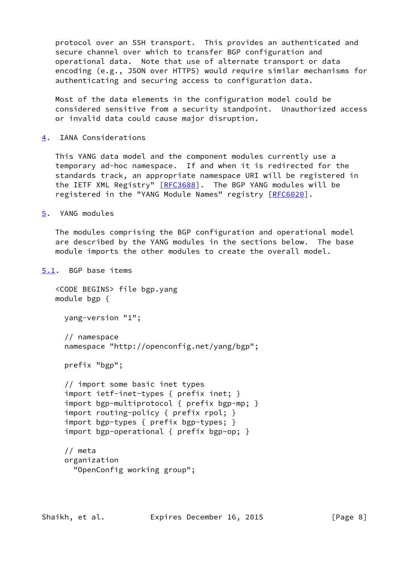protocol over an SSH transport. This provides an authenticated and secure channel over which to transfer BGP configuration and operational data. Note that use of alternate transport or data encoding (e.g., JSON over HTTPS) would require similar mechanisms for authenticating and securing access to configuration data.

 Most of the data elements in the configuration model could be considered sensitive from a security standpoint. Unauthorized access or invalid data could cause major disruption.

<span id="page-8-0"></span>[4](#page-8-0). IANA Considerations

 This YANG data model and the component modules currently use a temporary ad-hoc namespace. If and when it is redirected for the standards track, an appropriate namespace URI will be registered in the IETF XML Registry" [\[RFC3688](https://datatracker.ietf.org/doc/pdf/rfc3688)]. The BGP YANG modules will be registered in the "YANG Module Names" registry [\[RFC6020](https://datatracker.ietf.org/doc/pdf/rfc6020)].

```
5. YANG modules
```
 The modules comprising the BGP configuration and operational model are described by the YANG modules in the sections below. The base module imports the other modules to create the overall model.

<span id="page-8-2"></span>[5.1](#page-8-2). BGP base items

 <CODE BEGINS> file bgp.yang module bgp {

yang-version "1";

```
 // namespace
 namespace "http://openconfig.net/yang/bgp";
```
prefix "bgp";

```
 // import some basic inet types
 import ietf-inet-types { prefix inet; }
 import bgp-multiprotocol { prefix bgp-mp; }
 import routing-policy { prefix rpol; }
 import bgp-types { prefix bgp-types; }
 import bgp-operational { prefix bgp-op; }
```

```
 // meta
 organization
   "OpenConfig working group";
```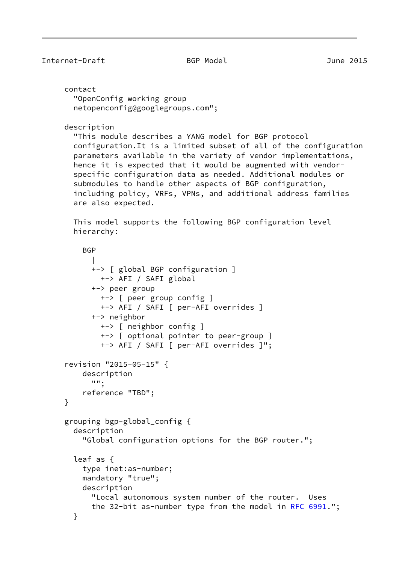# Internet-Draft BGP Model June 2015

 contact "OpenConfig working group netopenconfig@googlegroups.com";

# description

 "This module describes a YANG model for BGP protocol configuration.It is a limited subset of all of the configuration parameters available in the variety of vendor implementations, hence it is expected that it would be augmented with vendor specific configuration data as needed. Additional modules or submodules to handle other aspects of BGP configuration, including policy, VRFs, VPNs, and additional address families are also expected.

 This model supports the following BGP configuration level hierarchy:

```
BGP
 |
            +-> [ global BGP configuration ]
              +-> AFI / SAFI global
            +-> peer group
              +-> [ peer group config ]
              +-> AFI / SAFI [ per-AFI overrides ]
            +-> neighbor
              +-> [ neighbor config ]
              +-> [ optional pointer to peer-group ]
              +-> AFI / SAFI [ per-AFI overrides ]";
      revision "2015-05-15" {
          description
            "";
          reference "TBD";
      }
      grouping bgp-global_config {
        description
          "Global configuration options for the BGP router.";
        leaf as {
          type inet:as-number;
          mandatory "true";
          description
            "Local autonomous system number of the router. Uses
           the 32-bit as-number type from the model in RFC 6991.";
        }
```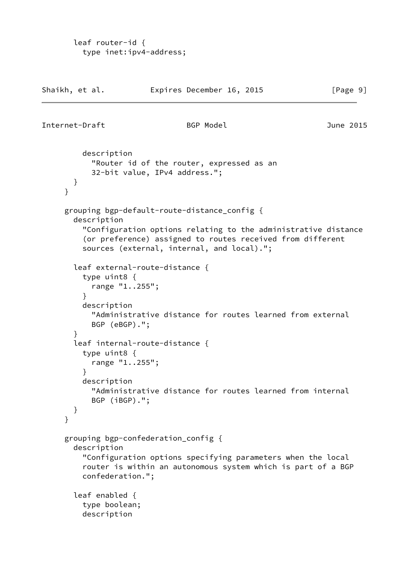```
 leaf router-id {
   type inet:ipv4-address;
```

| Shaikh, et al. |                                                                                                                                                    | Expires December 16, 2015                                                                                                                                                                                                  | [Page 9]  |
|----------------|----------------------------------------------------------------------------------------------------------------------------------------------------|----------------------------------------------------------------------------------------------------------------------------------------------------------------------------------------------------------------------------|-----------|
|                | Internet-Draft                                                                                                                                     | BGP Model                                                                                                                                                                                                                  | June 2015 |
| }              | description<br>}                                                                                                                                   | "Router id of the router, expressed as an<br>32-bit value, IPv4 address.";                                                                                                                                                 |           |
|                | description                                                                                                                                        | grouping bgp-default-route-distance_config {<br>"Configuration options relating to the administrative distance<br>(or preference) assigned to routes received from different<br>sources (external, internal, and local)."; |           |
| }              | type uint8 {<br>range "1255";<br>ł<br>description<br>BGP (eBGP).";<br>}<br>type uint8 {<br>range "1255";<br>ł<br>description<br>BGP (iBGP).";<br>} | leaf external-route-distance {<br>"Administrative distance for routes learned from external<br>leaf internal-route-distance {<br>"Administrative distance for routes learned from internal                                 |           |
|                | description<br>confederation.";<br>leaf enabled {<br>type boolean;<br>description                                                                  | grouping bgp-confederation_config {<br>"Configuration options specifying parameters when the local<br>router is within an autonomous system which is part of a BGP                                                         |           |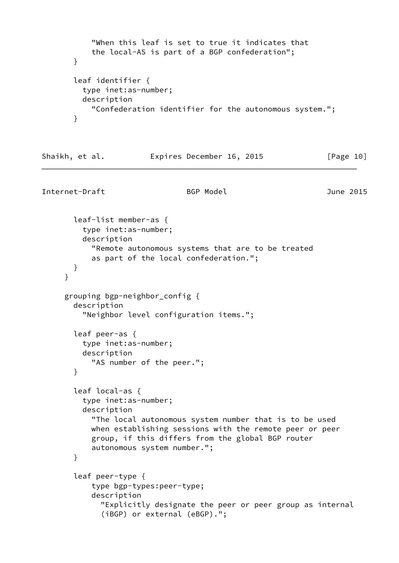```
 "When this leaf is set to true it indicates that
     the local-AS is part of a BGP confederation";
 }
 leaf identifier {
   type inet:as-number;
   description
     "Confederation identifier for the autonomous system.";
 }
```

|  | Shaikh, et al. | Expires December 16, 2015 |  | [Page 10] |
|--|----------------|---------------------------|--|-----------|
|--|----------------|---------------------------|--|-----------|

Internet-Draft BGP Model BGP Model June 2015

```
 leaf-list member-as {
     type inet:as-number;
     description
       "Remote autonomous systems that are to be treated
       as part of the local confederation.";
   }
 }
 grouping bgp-neighbor_config {
   description
     "Neighbor level configuration items.";
   leaf peer-as {
     type inet:as-number;
     description
       "AS number of the peer.";
   }
   leaf local-as {
     type inet:as-number;
     description
       "The local autonomous system number that is to be used
       when establishing sessions with the remote peer or peer
       group, if this differs from the global BGP router
       autonomous system number.";
   }
   leaf peer-type {
       type bgp-types:peer-type;
       description
         "Explicitly designate the peer or peer group as internal
         (iBGP) or external (eBGP).";
```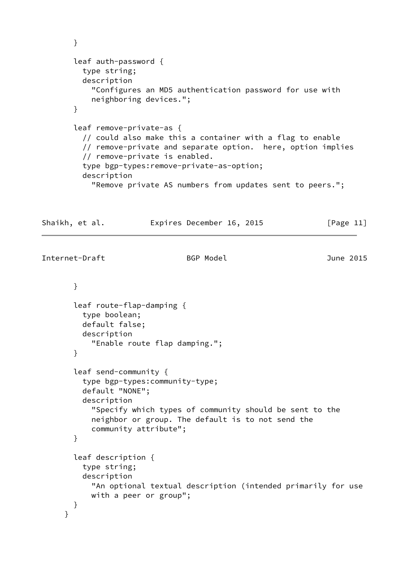```
 }
       leaf auth-password {
         type string;
         description
            "Configures an MD5 authentication password for use with
           neighboring devices.";
       }
       leaf remove-private-as {
         // could also make this a container with a flag to enable
         // remove-private and separate option. here, option implies
         // remove-private is enabled.
         type bgp-types:remove-private-as-option;
          description
            "Remove private AS numbers from updates sent to peers.";
Shaikh, et al. Expires December 16, 2015 [Page 11]
Internet-Draft BGP Model June 2015
       }
       leaf route-flap-damping {
         type boolean;
         default false;
         description
            "Enable route flap damping.";
       }
       leaf send-community {
         type bgp-types:community-type;
         default "NONE";
         description
            "Specify which types of community should be sent to the
           neighbor or group. The default is to not send the
            community attribute";
       }
       leaf description {
          type string;
         description
            "An optional textual description (intended primarily for use
           with a peer or group";
       }
     }
```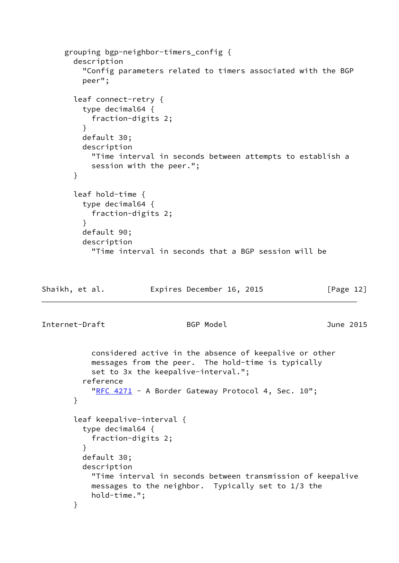```
 grouping bgp-neighbor-timers_config {
       description
          "Config parameters related to timers associated with the BGP
         peer";
       leaf connect-retry {
         type decimal64 {
           fraction-digits 2;
         }
         default 30;
         description
           "Time interval in seconds between attempts to establish a
           session with the peer.";
       }
       leaf hold-time {
         type decimal64 {
            fraction-digits 2;
         }
         default 90;
         description
            "Time interval in seconds that a BGP session will be
Shaikh, et al. Expires December 16, 2015 [Page 12]
Internet-Draft BGP Model June 2015
           considered active in the absence of keepalive or other
           messages from the peer. The hold-time is typically
            set to 3x the keepalive-interval.";
          reference
           "RFC 4271 - A Border Gateway Protocol 4, Sec. 10";
       }
       leaf keepalive-interval {
         type decimal64 {
            fraction-digits 2;
         }
         default 30;
         description
            "Time interval in seconds between transmission of keepalive
           messages to the neighbor. Typically set to 1/3 the
           hold-time.";
       }
```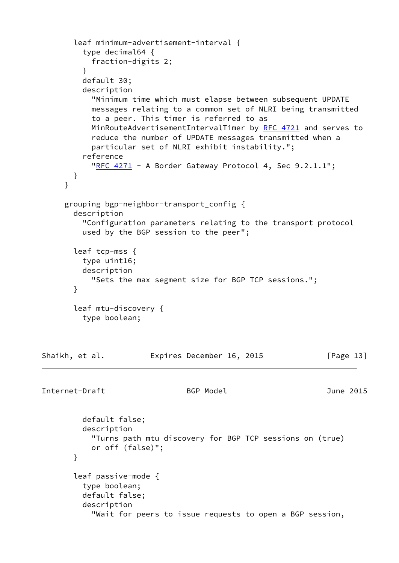```
 leaf minimum-advertisement-interval {
          type decimal64 {
            fraction-digits 2;
 }
         default 30;
          description
            "Minimum time which must elapse between subsequent UPDATE
           messages relating to a common set of NLRI being transmitted
           to a peer. This timer is referred to as
           MinRouteAdvertisementIntervalTimer by RFC 4721 and serves to
            reduce the number of UPDATE messages transmitted when a
            particular set of NLRI exhibit instability.";
          reference
           "RFC 4271 - A Border Gateway Protocol 4, Sec 9.2.1.1";
       }
     }
      grouping bgp-neighbor-transport_config {
       description
          "Configuration parameters relating to the transport protocol
          used by the BGP session to the peer";
       leaf tcp-mss {
         type uint16;
         description
            "Sets the max segment size for BGP TCP sessions.";
       }
       leaf mtu-discovery {
         type boolean;
Shaikh, et al. Expires December 16, 2015 [Page 13]
Internet-Draft BGP Model June 2015
         default false;
         description
            "Turns path mtu discovery for BGP TCP sessions on (true)
           or off (false)";
       }
       leaf passive-mode {
         type boolean;
         default false;
          description
            "Wait for peers to issue requests to open a BGP session,
```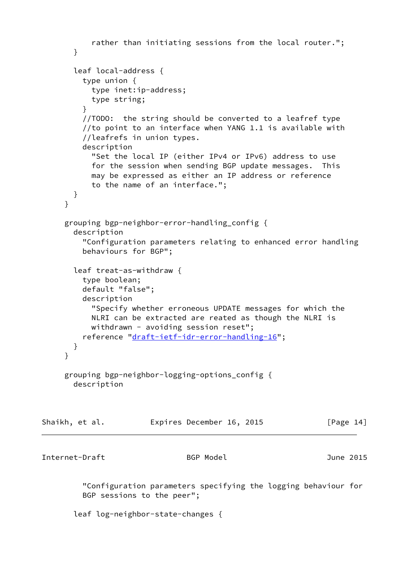```
 rather than initiating sessions from the local router.";
       }
       leaf local-address {
         type union {
           type inet:ip-address;
           type string;
 }
         //TODO: the string should be converted to a leafref type
         //to point to an interface when YANG 1.1 is available with
          //leafrefs in union types.
         description
           "Set the local IP (either IPv4 or IPv6) address to use
           for the session when sending BGP update messages. This
           may be expressed as either an IP address or reference
           to the name of an interface.";
       }
     }
     grouping bgp-neighbor-error-handling_config {
       description
          "Configuration parameters relating to enhanced error handling
          behaviours for BGP";
       leaf treat-as-withdraw {
          type boolean;
         default "false";
         description
           "Specify whether erroneous UPDATE messages for which the
           NLRI can be extracted are reated as though the NLRI is
          withdrawn - avoiding session reset";
         reference "draft-ietf-idr-error-handling-16";
       }
      }
     grouping bgp-neighbor-logging-options_config {
       description
Shaikh, et al. Expires December 16, 2015 [Page 14]
Internet-Draft BGP Model June 2015
          "Configuration parameters specifying the logging behaviour for
         BGP sessions to the peer";
       leaf log-neighbor-state-changes {
```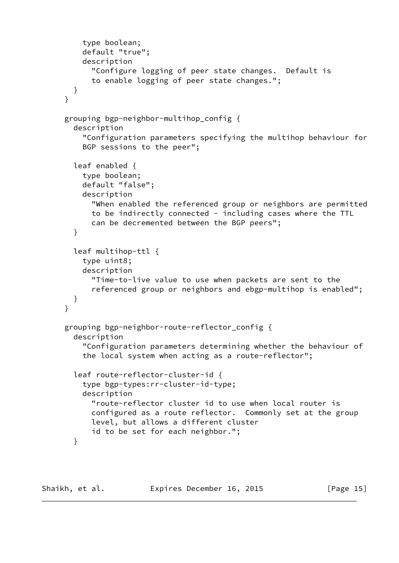```
 type boolean;
     default "true";
     description
       "Configure logging of peer state changes. Default is
       to enable logging of peer state changes.";
  }
 }
 grouping bgp-neighbor-multihop_config {
   description
     "Configuration parameters specifying the multihop behaviour for
     BGP sessions to the peer";
   leaf enabled {
     type boolean;
     default "false";
     description
       "When enabled the referenced group or neighbors are permitted
       to be indirectly connected - including cases where the TTL
       can be decremented between the BGP peers";
   }
   leaf multihop-ttl {
     type uint8;
     description
       "Time-to-live value to use when packets are sent to the
       referenced group or neighbors and ebgp-multihop is enabled";
   }
 }
 grouping bgp-neighbor-route-reflector_config {
   description
     "Configuration parameters determining whether the behaviour of
     the local system when acting as a route-reflector";
   leaf route-reflector-cluster-id {
     type bgp-types:rr-cluster-id-type;
     description
       "route-reflector cluster id to use when local router is
       configured as a route reflector. Commonly set at the group
       level, but allows a different cluster
       id to be set for each neighbor.";
   }
```
Shaikh, et al. **Expires December 16, 2015** [Page 15]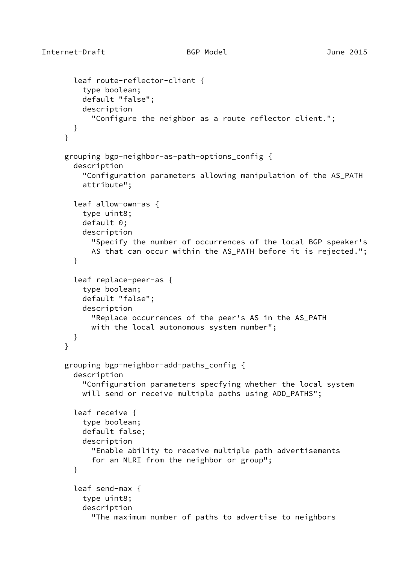```
 leaf route-reflector-client {
     type boolean;
     default "false";
     description
       "Configure the neighbor as a route reflector client.";
  }
 }
 grouping bgp-neighbor-as-path-options_config {
   description
     "Configuration parameters allowing manipulation of the AS_PATH
     attribute";
   leaf allow-own-as {
     type uint8;
     default 0;
     description
       "Specify the number of occurrences of the local BGP speaker's
       AS that can occur within the AS_PATH before it is rejected.";
   }
   leaf replace-peer-as {
     type boolean;
     default "false";
     description
       "Replace occurrences of the peer's AS in the AS_PATH
       with the local autonomous system number";
   }
 }
 grouping bgp-neighbor-add-paths_config {
   description
     "Configuration parameters specfying whether the local system
    will send or receive multiple paths using ADD PATHS";
   leaf receive {
     type boolean;
     default false;
     description
       "Enable ability to receive multiple path advertisements
       for an NLRI from the neighbor or group";
   }
   leaf send-max {
     type uint8;
     description
       "The maximum number of paths to advertise to neighbors
```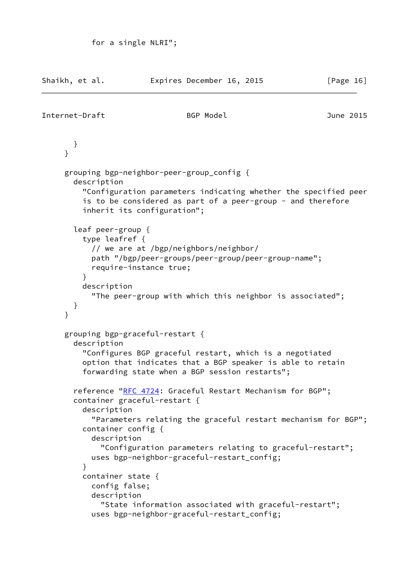| Shaikh, et al. |                                                                                                                                                       |                        | Expires December 16, 2015                                                                                                                                               | [Page 16]                                                                                                                      |
|----------------|-------------------------------------------------------------------------------------------------------------------------------------------------------|------------------------|-------------------------------------------------------------------------------------------------------------------------------------------------------------------------|--------------------------------------------------------------------------------------------------------------------------------|
| Internet-Draft |                                                                                                                                                       |                        | BGP Model                                                                                                                                                               | June 2015                                                                                                                      |
| }              | $\}$                                                                                                                                                  |                        |                                                                                                                                                                         |                                                                                                                                |
|                | grouping bgp-neighbor-peer-group_config {<br>description<br>inherit its configuration";                                                               |                        |                                                                                                                                                                         | "Configuration parameters indicating whether the specified peer<br>is to be considered as part of a peer-group - and therefore |
|                | leaf peer-group {<br>type leafref $\{$<br>ł<br>description                                                                                            | require-instance true; | // we are at /bgp/neighbors/neighbor/<br>path "/bgp/peer-groups/peer-group/peer-group-name";<br>"The peer-group with which this neighbor is associated";                |                                                                                                                                |
| }              | }                                                                                                                                                     |                        |                                                                                                                                                                         |                                                                                                                                |
|                | grouping bgp-graceful-restart {<br>description                                                                                                        |                        | "Configures BGP graceful restart, which is a negotiated<br>option that indicates that a BGP speaker is able to retain<br>forwarding state when a BGP session restarts"; |                                                                                                                                |
|                | reference "RFC 4724: Graceful Restart Mechanism for BGP";<br>container graceful-restart {<br>description<br>container config $\{$<br>description<br>ł |                        | uses bgp-neighbor-graceful-restart_config;                                                                                                                              | "Parameters relating the graceful restart mechanism for BGP";<br>"Configuration parameters relating to graceful-restart";      |
|                | container state {<br>config false;<br>description                                                                                                     |                        | "State information associated with graceful-restart";<br>uses bgp-neighbor-graceful-restart_config;                                                                     |                                                                                                                                |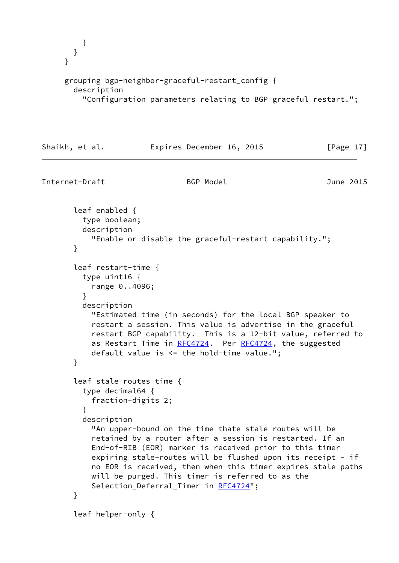```
 }
  }
 }
 grouping bgp-neighbor-graceful-restart_config {
   description
     "Configuration parameters relating to BGP graceful restart.";
```

```
Shaikh, et al. Expires December 16, 2015 [Page 17]
```

```
Internet-Draft BGP Model June 2015
       leaf enabled {
         type boolean;
         description
           "Enable or disable the graceful-restart capability.";
       }
       leaf restart-time {
         type uint16 {
           range 0..4096;
 }
         description
           "Estimated time (in seconds) for the local BGP speaker to
           restart a session. This value is advertise in the graceful
           restart BGP capability. This is a 12-bit value, referred to
          RFC4724 RFC4724, the suggested
           default value is <= the hold-time value.";
       }
       leaf stale-routes-time {
         type decimal64 {
           fraction-digits 2;
 }
         description
           "An upper-bound on the time thate stale routes will be
           retained by a router after a session is restarted. If an
           End-of-RIB (EOR) marker is received prior to this timer
          expiring stale-routes will be flushed upon its receipt - if
           no EOR is received, then when this timer expires stale paths
           will be purged. This timer is referred to as the
          RFC4724";
       }
       leaf helper-only {
```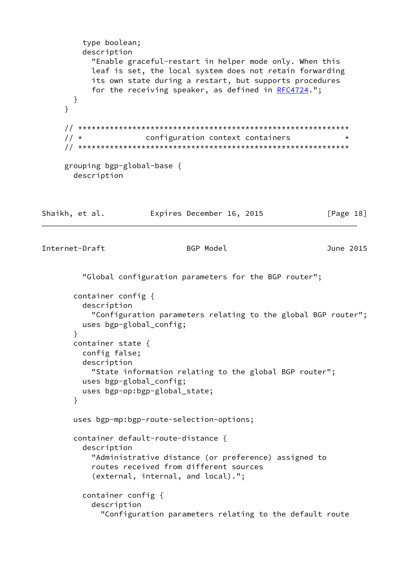```
 type boolean;
         description
           "Enable graceful-restart in helper mode only. When this
           leaf is set, the local system does not retain forwarding
           its own state during a restart, but supports procedures
           RFC4724.";
       }
     }
     // ************************************************************
    // * configuration context containers * *
     // ************************************************************
     grouping bgp-global-base {
       description
Shaikh, et al. Expires December 16, 2015 [Page 18]
Internet-Draft BGP Model June 2015
         "Global configuration parameters for the BGP router";
       container config {
         description
           "Configuration parameters relating to the global BGP router";
         uses bgp-global_config;
       }
       container state {
         config false;
         description
           "State information relating to the global BGP router";
         uses bgp-global_config;
         uses bgp-op:bgp-global_state;
       }
       uses bgp-mp:bgp-route-selection-options;
       container default-route-distance {
         description
           "Administrative distance (or preference) assigned to
           routes received from different sources
           (external, internal, and local).";
         container config {
           description
             "Configuration parameters relating to the default route
```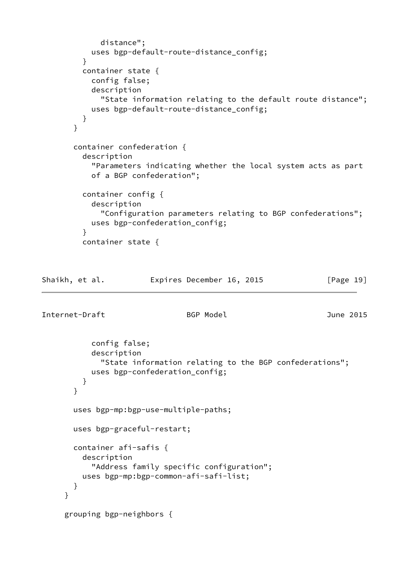```
 distance";
           uses bgp-default-route-distance_config;
         }
         container state {
           config false;
           description
              "State information relating to the default route distance";
           uses bgp-default-route-distance_config;
         }
       }
       container confederation {
         description
            "Parameters indicating whether the local system acts as part
           of a BGP confederation";
         container config {
           description
              "Configuration parameters relating to BGP confederations";
           uses bgp-confederation_config;
         }
         container state {
Shaikh, et al. Expires December 16, 2015 [Page 19]
Internet-Draft BGP Model June 2015
           config false;
           description
              "State information relating to the BGP confederations";
           uses bgp-confederation_config;
         }
       }
       uses bgp-mp:bgp-use-multiple-paths;
       uses bgp-graceful-restart;
       container afi-safis {
         description
            "Address family specific configuration";
         uses bgp-mp:bgp-common-afi-safi-list;
       }
     }
     grouping bgp-neighbors {
```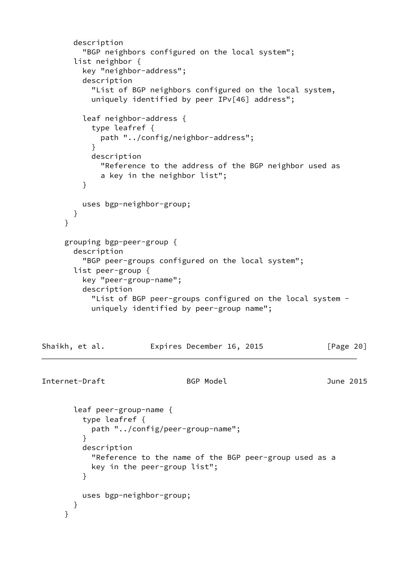```
 description
         "BGP neighbors configured on the local system";
       list neighbor {
         key "neighbor-address";
         description
           "List of BGP neighbors configured on the local system,
           uniquely identified by peer IPv[46] address";
         leaf neighbor-address {
           type leafref {
             path "../config/neighbor-address";
 }
           description
             "Reference to the address of the BGP neighbor used as
             a key in the neighbor list";
         }
         uses bgp-neighbor-group;
       }
     }
     grouping bgp-peer-group {
       description
         "BGP peer-groups configured on the local system";
       list peer-group {
         key "peer-group-name";
         description
           "List of BGP peer-groups configured on the local system -
           uniquely identified by peer-group name";
Shaikh, et al. Expires December 16, 2015 [Page 20]
Internet-Draft BGP Model June 2015
       leaf peer-group-name {
         type leafref {
           path "../config/peer-group-name";
 }
         description
           "Reference to the name of the BGP peer-group used as a
           key in the peer-group list";
         }
         uses bgp-neighbor-group;
       }
     }
```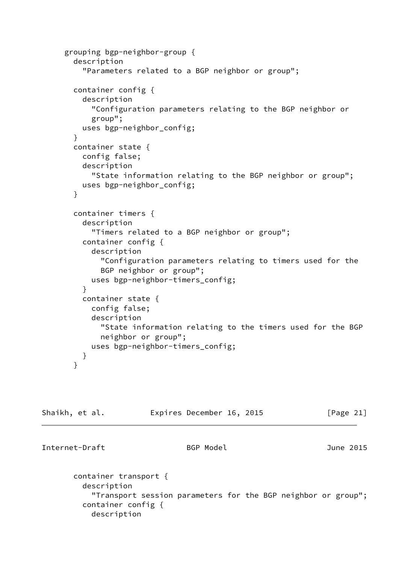```
 grouping bgp-neighbor-group {
        description
          "Parameters related to a BGP neighbor or group";
        container config {
          description
            "Configuration parameters relating to the BGP neighbor or
            group";
          uses bgp-neighbor_config;
        }
        container state {
          config false;
          description
            "State information relating to the BGP neighbor or group";
          uses bgp-neighbor_config;
        }
        container timers {
          description
            "Timers related to a BGP neighbor or group";
          container config {
            description
              "Configuration parameters relating to timers used for the
              BGP neighbor or group";
            uses bgp-neighbor-timers_config;
          }
          container state {
            config false;
            description
              "State information relating to the timers used for the BGP
              neighbor or group";
            uses bgp-neighbor-timers_config;
          }
        }
Shaikh, et al.         Expires December 16, 2015         [Page 21]
Internet-Draft BGP Model June 2015
        container transport {
```
 description "Transport session parameters for the BGP neighbor or group"; container config { description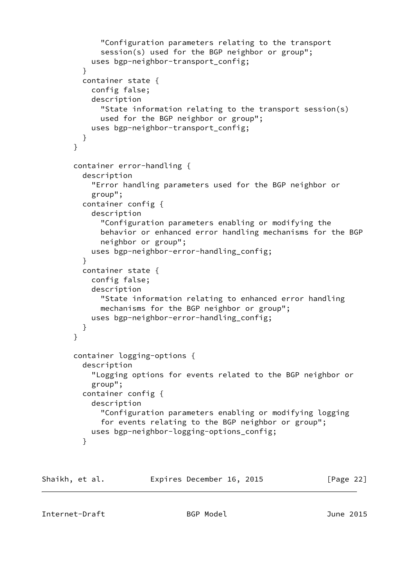```
 "Configuration parameters relating to the transport
              session(s) used for the BGP neighbor or group";
           uses bgp-neighbor-transport config;
 }
          container state {
            config false;
            description
              "State information relating to the transport session(s)
              used for the BGP neighbor or group";
           uses bgp-neighbor-transport_config;
 }
       }
       container error-handling {
          description
            "Error handling parameters used for the BGP neighbor or
            group";
          container config {
            description
              "Configuration parameters enabling or modifying the
              behavior or enhanced error handling mechanisms for the BGP
              neighbor or group";
           uses bgp-neighbor-error-handling_config;
 }
          container state {
            config false;
            description
              "State information relating to enhanced error handling
              mechanisms for the BGP neighbor or group";
           uses bgp-neighbor-error-handling_config;
          }
       }
       container logging-options {
          description
            "Logging options for events related to the BGP neighbor or
            group";
          container config {
            description
              "Configuration parameters enabling or modifying logging
              for events relating to the BGP neighbor or group";
           uses bgp-neighbor-logging-options_config;
 }
```
Shaikh, et al. **Expires December 16, 2015** [Page 22]

Internet-Draft BGP Model June 2015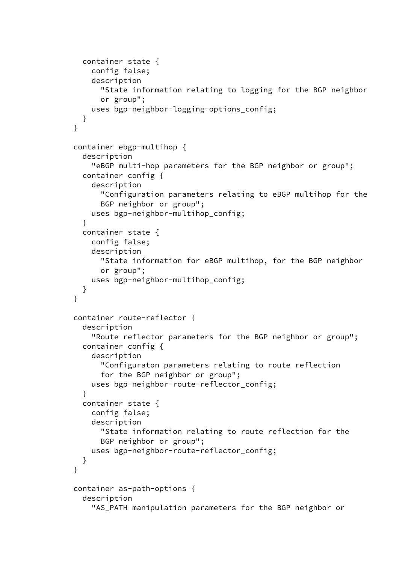```
 container state {
            config false;
            description
              "State information relating to logging for the BGP neighbor
              or group";
            uses bgp-neighbor-logging-options_config;
          }
        }
        container ebgp-multihop {
          description
            "eBGP multi-hop parameters for the BGP neighbor or group";
          container config {
            description
              "Configuration parameters relating to eBGP multihop for the
              BGP neighbor or group";
            uses bgp-neighbor-multihop_config;
 }
          container state {
            config false;
            description
              "State information for eBGP multihop, for the BGP neighbor
              or group";
            uses bgp-neighbor-multihop_config;
          }
        }
        container route-reflector {
          description
            "Route reflector parameters for the BGP neighbor or group";
          container config {
            description
              "Configuraton parameters relating to route reflection
              for the BGP neighbor or group";
            uses bgp-neighbor-route-reflector_config;
 }
          container state {
            config false;
            description
              "State information relating to route reflection for the
              BGP neighbor or group";
            uses bgp-neighbor-route-reflector_config;
 }
        }
        container as-path-options {
          description
            "AS_PATH manipulation parameters for the BGP neighbor or
```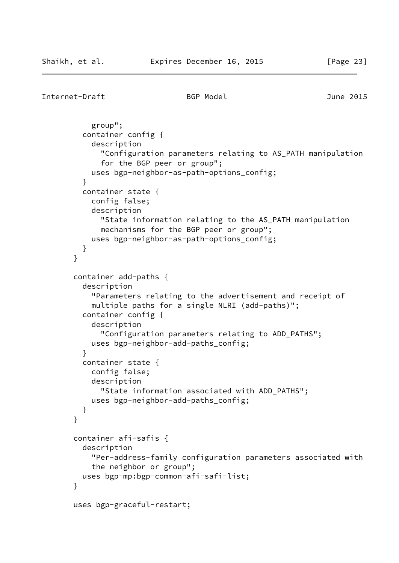```
Internet-Draft BGP Model June 2015
```

```
 group";
          container config {
            description
              "Configuration parameters relating to AS_PATH manipulation
              for the BGP peer or group";
            uses bgp-neighbor-as-path-options_config;
 }
          container state {
            config false;
            description
              "State information relating to the AS_PATH manipulation
              mechanisms for the BGP peer or group";
            uses bgp-neighbor-as-path-options_config;
          }
        }
        container add-paths {
          description
            "Parameters relating to the advertisement and receipt of
            multiple paths for a single NLRI (add-paths)";
          container config {
            description
              "Configuration parameters relating to ADD_PATHS";
            uses bgp-neighbor-add-paths_config;
 }
          container state {
            config false;
            description
              "State information associated with ADD_PATHS";
            uses bgp-neighbor-add-paths_config;
          }
        }
        container afi-safis {
          description
            "Per-address-family configuration parameters associated with
            the neighbor or group";
          uses bgp-mp:bgp-common-afi-safi-list;
        }
        uses bgp-graceful-restart;
```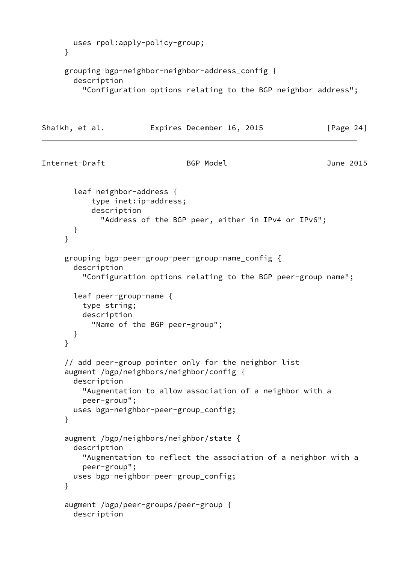```
 uses rpol:apply-policy-group;
     }
     grouping bgp-neighbor-neighbor-address_config {
       description
          "Configuration options relating to the BGP neighbor address";
Shaikh, et al. Expires December 16, 2015 [Page 24]
Internet-Draft BGP Model June 2015
       leaf neighbor-address {
           type inet:ip-address;
           description
              "Address of the BGP peer, either in IPv4 or IPv6";
       }
      }
     grouping bgp-peer-group-peer-group-name_config {
       description
          "Configuration options relating to the BGP peer-group name";
       leaf peer-group-name {
         type string;
         description
            "Name of the BGP peer-group";
       }
     }
      // add peer-group pointer only for the neighbor list
      augment /bgp/neighbors/neighbor/config {
       description
          "Augmentation to allow association of a neighbor with a
         peer-group";
       uses bgp-neighbor-peer-group_config;
     }
      augment /bgp/neighbors/neighbor/state {
       description
          "Augmentation to reflect the association of a neighbor with a
         peer-group";
       uses bgp-neighbor-peer-group_config;
     }
      augment /bgp/peer-groups/peer-group {
       description
```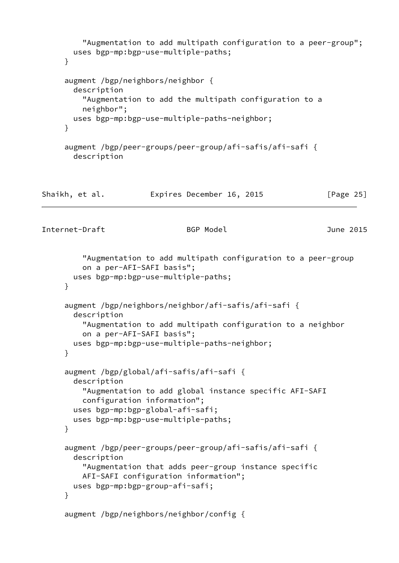```
 "Augmentation to add multipath configuration to a peer-group";
        uses bgp-mp:bgp-use-multiple-paths;
     }
     augment /bgp/neighbors/neighbor {
        description
          "Augmentation to add the multipath configuration to a
          neighbor";
        uses bgp-mp:bgp-use-multiple-paths-neighbor;
     }
     augment /bgp/peer-groups/peer-group/afi-safis/afi-safi {
        description
Shaikh, et al.             Expires December 16, 2015             [Page 25]
Internet-Draft BGP Model June 2015
          "Augmentation to add multipath configuration to a peer-group
          on a per-AFI-SAFI basis";
        uses bgp-mp:bgp-use-multiple-paths;
     }
      augment /bgp/neighbors/neighbor/afi-safis/afi-safi {
        description
          "Augmentation to add multipath configuration to a neighbor
          on a per-AFI-SAFI basis";
       uses bgp-mp:bgp-use-multiple-paths-neighbor;
     }
      augment /bgp/global/afi-safis/afi-safi {
        description
          "Augmentation to add global instance specific AFI-SAFI
          configuration information";
        uses bgp-mp:bgp-global-afi-safi;
        uses bgp-mp:bgp-use-multiple-paths;
     }
      augment /bgp/peer-groups/peer-group/afi-safis/afi-safi {
        description
          "Augmentation that adds peer-group instance specific
          AFI-SAFI configuration information";
        uses bgp-mp:bgp-group-afi-safi;
     }
      augment /bgp/neighbors/neighbor/config {
```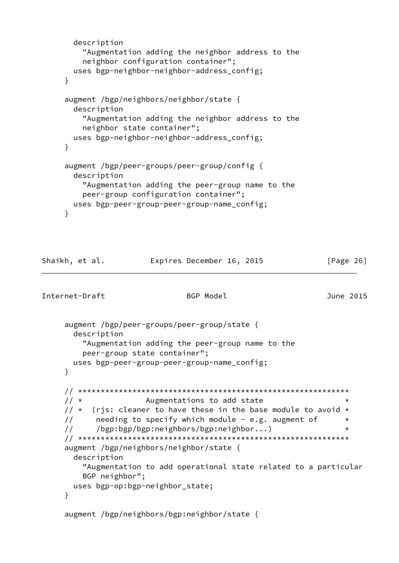```
 description
     "Augmentation adding the neighbor address to the
     neighbor configuration container";
   uses bgp-neighbor-neighbor-address_config;
 }
 augment /bgp/neighbors/neighbor/state {
   description
     "Augmentation adding the neighbor address to the
     neighbor state container";
   uses bgp-neighbor-neighbor-address_config;
 }
 augment /bgp/peer-groups/peer-group/config {
   description
     "Augmentation adding the peer-group name to the
     peer-group configuration container";
   uses bgp-peer-group-peer-group-name_config;
 }
```

```
Shaikh, et al. Expires December 16, 2015 [Page 26]
```

```
Internet-Draft BGP Model June 2015
```

```
 augment /bgp/peer-groups/peer-group/state {
  description
     "Augmentation adding the peer-group name to the
     peer-group state container";
  uses bgp-peer-group-peer-group-name_config;
 }
 // ************************************************************
// * Augmentations to add state
// \star (rjs: cleaner to have these in the base module to avoid \star// needing to specify which module - e.g. augment of * // /bgp:bgp/bgp:neighbors/bgp:neighbor...) *
 // ************************************************************
 augment /bgp/neighbors/neighbor/state {
  description
     "Augmentation to add operational state related to a particular
     BGP neighbor";
  uses bgp-op:bgp-neighbor_state;
 }
 augment /bgp/neighbors/bgp:neighbor/state {
```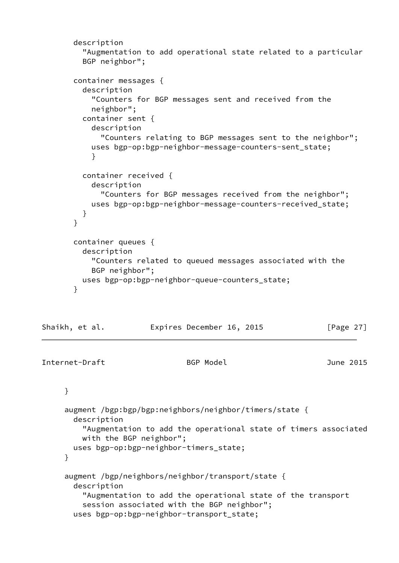```
 description
         "Augmentation to add operational state related to a particular
         BGP neighbor";
       container messages {
         description
           "Counters for BGP messages sent and received from the
           neighbor";
         container sent {
           description
             "Counters relating to BGP messages sent to the neighbor";
           uses bgp-op:bgp-neighbor-message-counters-sent_state;
 }
         container received {
           description
             "Counters for BGP messages received from the neighbor";
           uses bgp-op:bgp-neighbor-message-counters-received_state;
 }
       }
       container queues {
         description
           "Counters related to queued messages associated with the
           BGP neighbor";
         uses bgp-op:bgp-neighbor-queue-counters_state;
       }
Shaikh, et al. Expires December 16, 2015 [Page 27]
Internet-Draft BGP Model June 2015
     }
     augment /bgp:bgp/bgp:neighbors/neighbor/timers/state {
```

```
 description
```
 "Augmentation to add the operational state of timers associated with the BGP neighbor";

```
 uses bgp-op:bgp-neighbor-timers_state;
```
}

```
 augment /bgp/neighbors/neighbor/transport/state {
  description
     "Augmentation to add the operational state of the transport
     session associated with the BGP neighbor";
  uses bgp-op:bgp-neighbor-transport_state;
```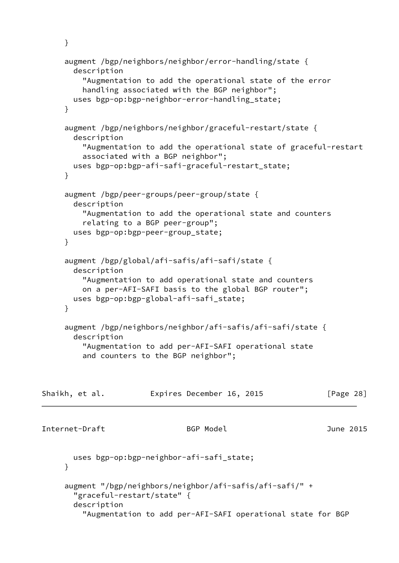```
 augment /bgp/neighbors/neighbor/error-handling/state {
       description
          "Augmentation to add the operational state of the error
          handling associated with the BGP neighbor";
       uses bgp-op:bgp-neighbor-error-handling_state;
     }
      augment /bgp/neighbors/neighbor/graceful-restart/state {
       description
          "Augmentation to add the operational state of graceful-restart
          associated with a BGP neighbor";
       uses bgp-op:bgp-afi-safi-graceful-restart_state;
      }
      augment /bgp/peer-groups/peer-group/state {
       description
          "Augmentation to add the operational state and counters
          relating to a BGP peer-group";
       uses bgp-op:bgp-peer-group_state;
     }
     augment /bgp/global/afi-safis/afi-safi/state {
       description
          "Augmentation to add operational state and counters
          on a per-AFI-SAFI basis to the global BGP router";
       uses bgp-op:bgp-global-afi-safi_state;
     }
    augment /bgp/neighbors/neighbor/afi-safis/afi-safi/state {
       description
          "Augmentation to add per-AFI-SAFI operational state
          and counters to the BGP neighbor";
Shaikh, et al.             Expires December 16, 2015             [Page 28]
Internet-Draft BGP Model June 2015
       uses bgp-op:bgp-neighbor-afi-safi_state;
     }
      augment "/bgp/neighbors/neighbor/afi-safis/afi-safi/" +
        "graceful-restart/state" {
       description
          "Augmentation to add per-AFI-SAFI operational state for BGP
```
}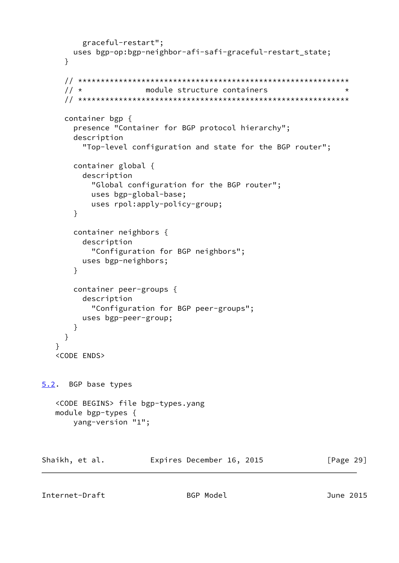```
 graceful-restart";
        uses bgp-op:bgp-neighbor-afi-safi-graceful-restart_state;
      }
      // ************************************************************
     1/ * The module structure containers
      // ************************************************************
      container bgp {
        presence "Container for BGP protocol hierarchy";
        description
          "Top-level configuration and state for the BGP router";
        container global {
          description
            "Global configuration for the BGP router";
           uses bgp-global-base;
            uses rpol:apply-policy-group;
        }
        container neighbors {
          description
            "Configuration for BGP neighbors";
          uses bgp-neighbors;
        }
        container peer-groups {
          description
            "Configuration for BGP peer-groups";
          uses bgp-peer-group;
        }
      }
    }
    <CODE ENDS>
5.2. BGP base types
    <CODE BEGINS> file bgp-types.yang
    module bgp-types {
        yang-version "1";
Shaikh, et al. Expires December 16, 2015 [Page 29]
```
<span id="page-32-0"></span>Internet-Draft BGP Model June 2015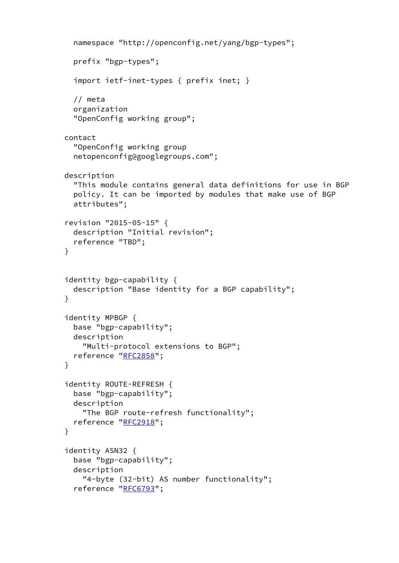```
 namespace "http://openconfig.net/yang/bgp-types";
   prefix "bgp-types";
   import ietf-inet-types { prefix inet; }
   // meta
   organization
   "OpenConfig working group";
 contact
   "OpenConfig working group
   netopenconfig@googlegroups.com";
 description
   "This module contains general data definitions for use in BGP
   policy. It can be imported by modules that make use of BGP
   attributes";
 revision "2015-05-15" {
   description "Initial revision";
   reference "TBD";
 }
 identity bgp-capability {
   description "Base identity for a BGP capability";
 }
 identity MPBGP {
   base "bgp-capability";
   description
     "Multi-protocol extensions to BGP";
   reference "RFC2858";
 }
 identity ROUTE-REFRESH {
   base "bgp-capability";
   description
     "The BGP route-refresh functionality";
  RFC2918";
 }
 identity ASN32 {
   base "bgp-capability";
   description
     "4-byte (32-bit) AS number functionality";
   reference "RFC6793";
```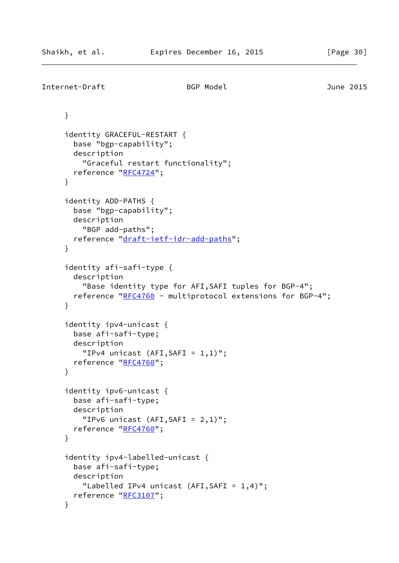```
Internet-Draft BGP Model June 2015
     }
     identity GRACEFUL-RESTART {
       base "bgp-capability";
       description
          "Graceful restart functionality";
       reference "RFC4724";
     }
     identity ADD-PATHS {
       base "bgp-capability";
       description
         "BGP add-paths";
       reference "draft-ietf-idr-add-paths";
     }
     identity afi-safi-type {
       description
          "Base identity type for AFI,SAFI tuples for BGP-4";
      RFC4760 - multiprotocol extensions for BGP-4";
     }
      identity ipv4-unicast {
       base afi-safi-type;
       description
         "IPv4 unicast (AFI,SAFI = 1,1)";
       reference "RFC4760";
     }
     identity ipv6-unicast {
       base afi-safi-type;
       description
          "IPv6 unicast (AFI,SAFI = 2,1)";
      RFC4760";
     }
     identity ipv4-labelled-unicast {
       base afi-safi-type;
       description
          "Labelled IPv4 unicast (AFI,SAFI = 1,4)";
       reference "RFC3107";
     }
```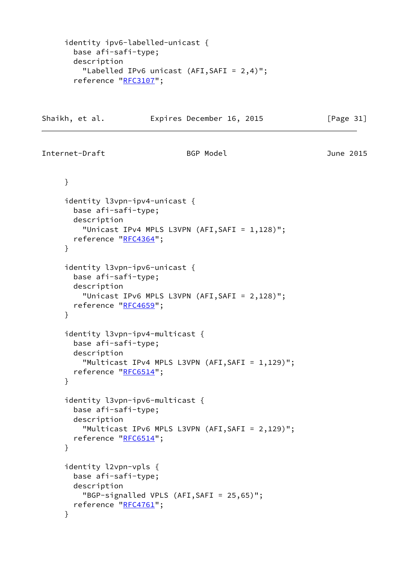```
 identity ipv6-labelled-unicast {
       base afi-safi-type;
       description
         "Labelled IPv6 unicast (AFI,SAFI = 2,4)";
      RFC3107";
Shaikh, et al. Expires December 16, 2015 [Page 31]
Internet-Draft BGP Model June 2015
     }
     identity l3vpn-ipv4-unicast {
       base afi-safi-type;
       description
         "Unicast IPv4 MPLS L3VPN (AFI,SAFI = 1,128)";
       reference "RFC4364";
     }
     identity l3vpn-ipv6-unicast {
       base afi-safi-type;
       description
         "Unicast IPv6 MPLS L3VPN (AFI,SAFI = 2,128)";
      RFC4659";
     }
     identity l3vpn-ipv4-multicast {
       base afi-safi-type;
       description
         "Multicast IPv4 MPLS L3VPN (AFI,SAFI = 1,129)";
       reference "RFC6514";
     }
     identity l3vpn-ipv6-multicast {
       base afi-safi-type;
       description
         "Multicast IPv6 MPLS L3VPN (AFI,SAFI = 2,129)";
      RFC6514";
     }
     identity l2vpn-vpls {
       base afi-safi-type;
       description
         "BGP-signalled VPLS (AFI,SAFI = 25,65)";
      RFC4761";
     }
```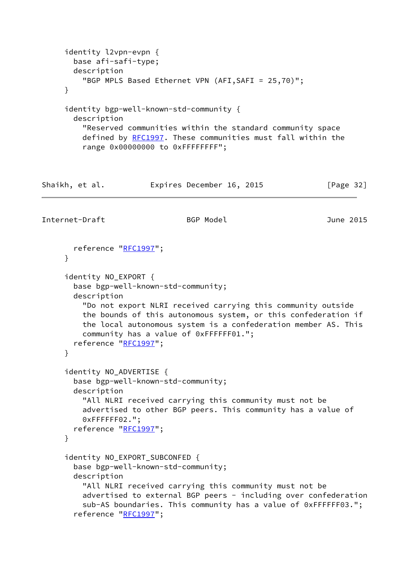```
 identity l2vpn-evpn {
       base afi-safi-type;
       description
          "BGP MPLS Based Ethernet VPN (AFI,SAFI = 25,70)";
     }
      identity bgp-well-known-std-community {
       description
          "Reserved communities within the standard community space
         RFC1997. These communities must fall within the
         range 0x00000000 to 0xFFFFFFFF";
Shaikh, et al.             Expires December 16, 2015             [Page 32]
Internet-Draft BGP Model June 2015
      RFC1997";
     }
     identity NO_EXPORT {
       base bgp-well-known-std-community;
       description
          "Do not export NLRI received carrying this community outside
          the bounds of this autonomous system, or this confederation if
          the local autonomous system is a confederation member AS. This
          community has a value of 0xFFFFFF01.";
       reference "RFC1997";
     }
      identity NO_ADVERTISE {
       base bgp-well-known-std-community;
       description
          "All NLRI received carrying this community must not be
         advertised to other BGP peers. This community has a value of
         0xFFFFFF02.";
       reference "RFC1997";
      }
      identity NO_EXPORT_SUBCONFED {
       base bgp-well-known-std-community;
       description
          "All NLRI received carrying this community must not be
        advertised to external BGP peers - including over confederation
          sub-AS boundaries. This community has a value of 0xFFFFFF03.";
       RFC1997";
```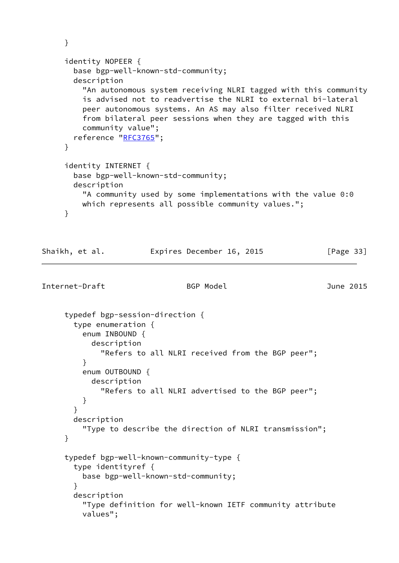```
 }
     identity NOPEER {
       base bgp-well-known-std-community;
       description
          "An autonomous system receiving NLRI tagged with this community
          is advised not to readvertise the NLRI to external bi-lateral
          peer autonomous systems. An AS may also filter received NLRI
          from bilateral peer sessions when they are tagged with this
          community value";
       reference "RFC3765";
     }
     identity INTERNET {
       base bgp-well-known-std-community;
       description
          "A community used by some implementations with the value 0:0
         which represents all possible community values.";
     }
Shaikh, et al. Expires December 16, 2015 [Page 33]
Internet-Draft BGP Model June 2015
      typedef bgp-session-direction {
        type enumeration {
         enum INBOUND {
           description
              "Refers to all NLRI received from the BGP peer";
 }
         enum OUTBOUND {
           description
              "Refers to all NLRI advertised to the BGP peer";
          }
       }
       description
          "Type to describe the direction of NLRI transmission";
     }
      typedef bgp-well-known-community-type {
       type identityref {
         base bgp-well-known-std-community;
       }
       description
          "Type definition for well-known IETF community attribute
          values";
```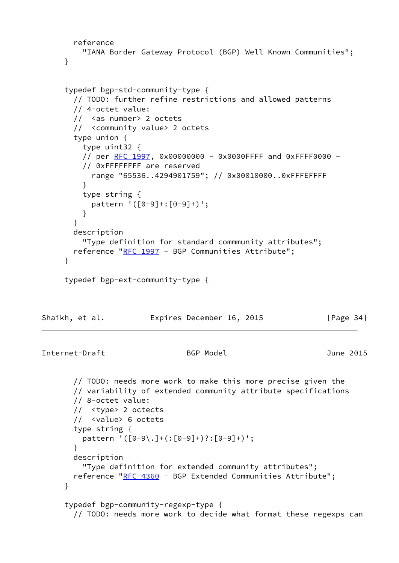```
 reference
         "IANA Border Gateway Protocol (BGP) Well Known Communities";
     }
     typedef bgp-std-community-type {
       // TODO: further refine restrictions and allowed patterns
       // 4-octet value:
       // <as number> 2 octets
       // <community value> 2 octets
       type union {
         type uint32 {
         RFC 1997, 0x00000000 - 0x0000FFFF and 0xFFFF0000 -
         // 0xFFFFFFFF are reserved
           range "65536..4294901759"; // 0x00010000..0xFFFEFFFF
 }
         type string {
           pattern '([0-9]+:[0-9]+)';
 }
       }
       description
         "Type definition for standard commmunity attributes";
       reference "RFC 1997 - BGP Communities Attribute";
     }
     typedef bgp-ext-community-type {
Shaikh, et al. Expires December 16, 2015 [Page 34]
Internet-Draft BGP Model June 2015
       // TODO: needs more work to make this more precise given the
       // variability of extended community attribute specifications
       // 8-octet value:
       // <type> 2 octects
       // <value> 6 octets
       type string {
         pattern '([0-9\.]+(:[0-9]+)?:[0-9]+)';
       }
       description
         "Type definition for extended community attributes";
      RFC 4360 - BGP Extended Communities Attribute";
     }
     typedef bgp-community-regexp-type {
       // TODO: needs more work to decide what format these regexps can
```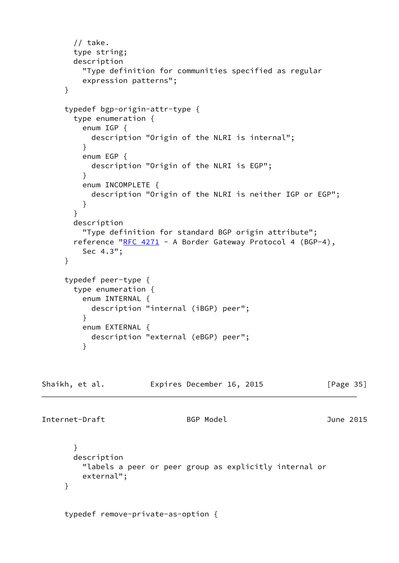```
 // take.
       type string;
       description
         "Type definition for communities specified as regular
         expression patterns";
     }
     typedef bgp-origin-attr-type {
       type enumeration {
         enum IGP {
           description "Origin of the NLRI is internal";
         }
         enum EGP {
           description "Origin of the NLRI is EGP";
         }
         enum INCOMPLETE {
           description "Origin of the NLRI is neither IGP or EGP";
         }
       }
       description
         "Type definition for standard BGP origin attribute";
      RFC 4271 - A Border Gateway Protocol 4 (BGP-4),
         Sec 4.3";
     }
     typedef peer-type {
       type enumeration {
         enum INTERNAL {
           description "internal (iBGP) peer";
 }
         enum EXTERNAL {
           description "external (eBGP) peer";
         }
Shaikh, et al. Expires December 16, 2015 [Page 35]
Internet-Draft BGP Model June 2015
       }
       description
         "labels a peer or peer group as explicitly internal or
         external";
     }
     typedef remove-private-as-option {
```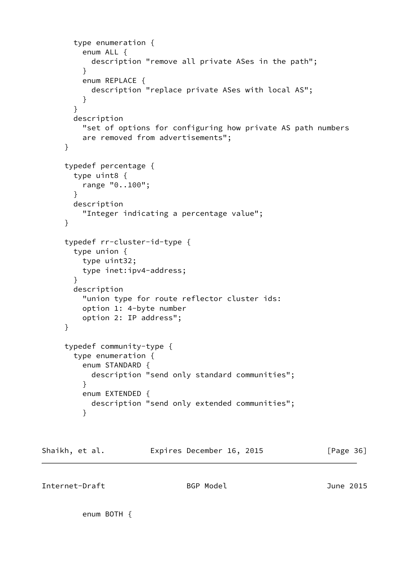```
 type enumeration {
          enum ALL {
            description "remove all private ASes in the path";
 }
          enum REPLACE {
            description "replace private ASes with local AS";
 }
        }
        description
          "set of options for configuring how private AS path numbers
          are removed from advertisements";
      }
      typedef percentage {
        type uint8 {
         range "0..100";
        }
        description
          "Integer indicating a percentage value";
      }
      typedef rr-cluster-id-type {
        type union {
         type uint32;
         type inet:ipv4-address;
        }
        description
          "union type for route reflector cluster ids:
          option 1: 4-byte number
          option 2: IP address";
      }
      typedef community-type {
        type enumeration {
          enum STANDARD {
            description "send only standard communities";
          }
          enum EXTENDED {
            description "send only extended communities";
 }
Shaikh, et al. Expires December 16, 2015 [Page 36]
```
Internet-Draft BGP Model June 2015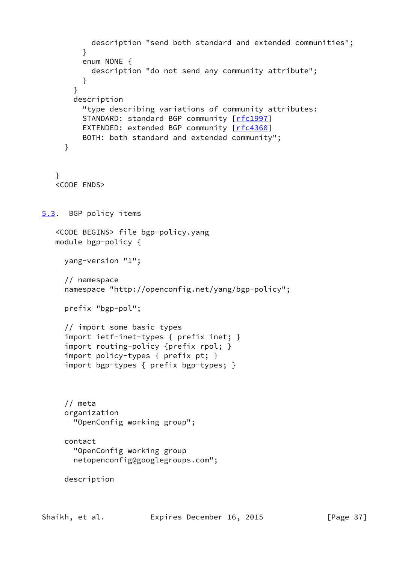```
 description "send both standard and extended communities";
         }
         enum NONE {
           description "do not send any community attribute";
         }
       }
       description
         "type describing variations of community attributes:
        [rfc1997]
        [rfc4360]
         BOTH: both standard and extended community";
     }
    }
    <CODE ENDS>
5.3. BGP policy items
    <CODE BEGINS> file bgp-policy.yang
   module bgp-policy {
     yang-version "1";
     // namespace
     namespace "http://openconfig.net/yang/bgp-policy";
     prefix "bgp-pol";
     // import some basic types
      import ietf-inet-types { prefix inet; }
      import routing-policy {prefix rpol; }
      import policy-types { prefix pt; }
      import bgp-types { prefix bgp-types; }
     // meta
     organization
       "OpenConfig working group";
     contact
       "OpenConfig working group
       netopenconfig@googlegroups.com";
     description
```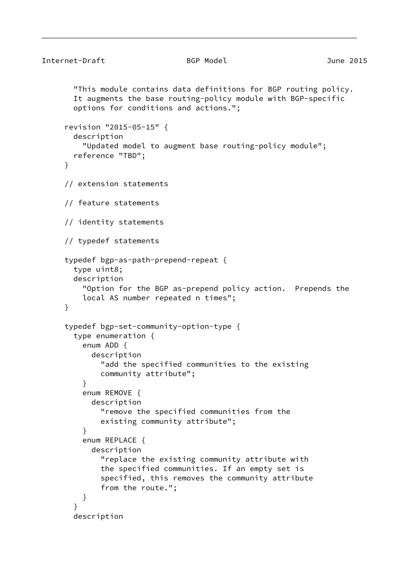```
Internet-Draft BGP Model June 2015
        "This module contains data definitions for BGP routing policy.
       It augments the base routing-policy module with BGP-specific
       options for conditions and actions.";
      revision "2015-05-15" {
       description
          "Updated model to augment base routing-policy module";
       reference "TBD";
     }
      // extension statements
      // feature statements
      // identity statements
      // typedef statements
      typedef bgp-as-path-prepend-repeat {
       type uint8;
       description
          "Option for the BGP as-prepend policy action. Prepends the
         local AS number repeated n times";
     }
      typedef bgp-set-community-option-type {
       type enumeration {
         enum ADD {
            description
              "add the specified communities to the existing
             community attribute";
 }
         enum REMOVE {
           description
              "remove the specified communities from the
             existing community attribute";
 }
         enum REPLACE {
           description
              "replace the existing community attribute with
              the specified communities. If an empty set is
              specified, this removes the community attribute
              from the route.";
 }
        }
       description
```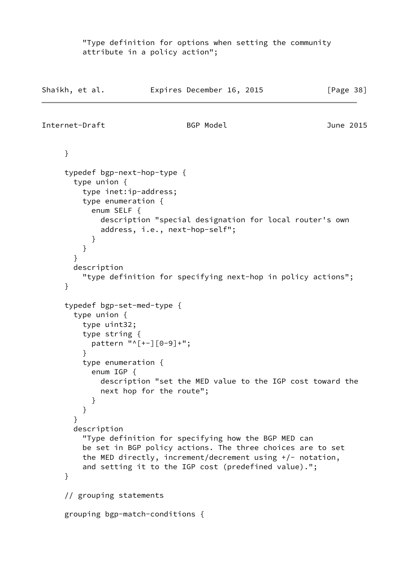"Type definition for options when setting the community attribute in a policy action";

```
Shaikh, et al. Expires December 16, 2015 [Page 38]
Internet-Draft BGP Model June 2015
     }
     typedef bgp-next-hop-type {
       type union {
         type inet:ip-address;
         type enumeration {
           enum SELF {
             description "special designation for local router's own
             address, i.e., next-hop-self";
 }
         }
       }
       description
         "type definition for specifying next-hop in policy actions";
     }
     typedef bgp-set-med-type {
       type union {
         type uint32;
         type string {
           pattern "^[+-][0-9]+";
 }
         type enumeration {
           enum IGP {
             description "set the MED value to the IGP cost toward the
             next hop for the route";
           }
         }
       }
       description
         "Type definition for specifying how the BGP MED can
         be set in BGP policy actions. The three choices are to set
         the MED directly, increment/decrement using +/- notation,
         and setting it to the IGP cost (predefined value).";
     }
     // grouping statements
     grouping bgp-match-conditions {
```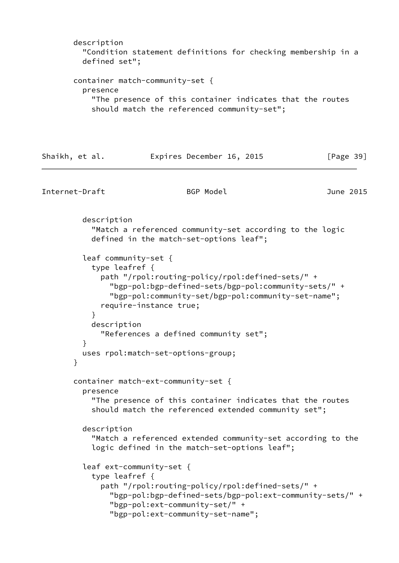```
 description
          "Condition statement definitions for checking membership in a
         defined set";
       container match-community-set {
         presence
           "The presence of this container indicates that the routes
           should match the referenced community-set";
Shaikh, et al. Expires December 16, 2015 [Page 39]
Internet-Draft BGP Model June 2015
         description
           "Match a referenced community-set according to the logic
           defined in the match-set-options leaf";
         leaf community-set {
           type leafref {
             path "/rpol:routing-policy/rpol:defined-sets/" +
               "bgp-pol:bgp-defined-sets/bgp-pol:community-sets/" +
               "bgp-pol:community-set/bgp-pol:community-set-name";
             require-instance true;
 }
           description
             "References a defined community set";
 }
         uses rpol:match-set-options-group;
       }
       container match-ext-community-set {
         presence
           "The presence of this container indicates that the routes
           should match the referenced extended community set";
         description
           "Match a referenced extended community-set according to the
           logic defined in the match-set-options leaf";
         leaf ext-community-set {
           type leafref {
             path "/rpol:routing-policy/rpol:defined-sets/" +
               "bgp-pol:bgp-defined-sets/bgp-pol:ext-community-sets/" +
               "bgp-pol:ext-community-set/" +
               "bgp-pol:ext-community-set-name";
```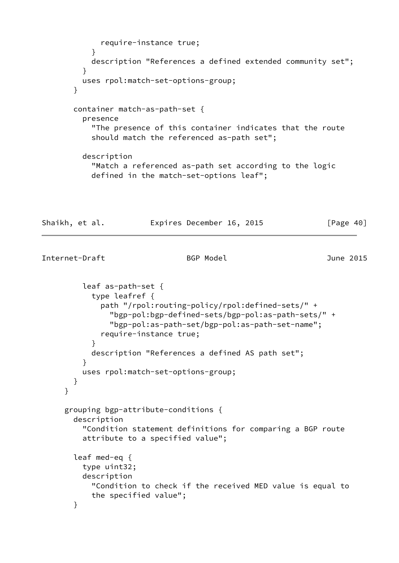```
 require-instance true;
 }
           description "References a defined extended community set";
 }
         uses rpol:match-set-options-group;
       }
       container match-as-path-set {
         presence
           "The presence of this container indicates that the route
           should match the referenced as-path set";
         description
           "Match a referenced as-path set according to the logic
           defined in the match-set-options leaf";
Shaikh, et al.           Expires December 16, 2015             [Page 40]
Internet-Draft BGP Model June 2015
         leaf as-path-set {
           type leafref {
             path "/rpol:routing-policy/rpol:defined-sets/" +
               "bgp-pol:bgp-defined-sets/bgp-pol:as-path-sets/" +
               "bgp-pol:as-path-set/bgp-pol:as-path-set-name";
             require-instance true;
 }
           description "References a defined AS path set";
 }
         uses rpol:match-set-options-group;
       }
     }
     grouping bgp-attribute-conditions {
       description
         "Condition statement definitions for comparing a BGP route
         attribute to a specified value";
       leaf med-eq {
         type uint32;
         description
           "Condition to check if the received MED value is equal to
           the specified value";
       }
```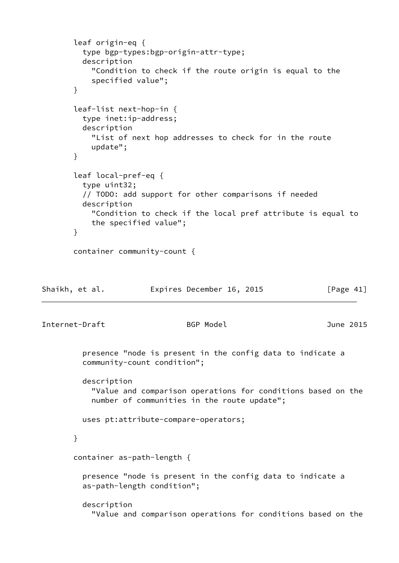```
 leaf origin-eq {
          type bgp-types:bgp-origin-attr-type;
         description
            "Condition to check if the route origin is equal to the
           specified value";
       }
       leaf-list next-hop-in {
         type inet:ip-address;
         description
            "List of next hop addresses to check for in the route
           update";
       }
       leaf local-pref-eq {
         type uint32;
          // TODO: add support for other comparisons if needed
         description
            "Condition to check if the local pref attribute is equal to
           the specified value";
       }
       container community-count {
Shaikh, et al. Expires December 16, 2015 [Page 41]
Internet-Draft BGP Model June 2015
          presence "node is present in the config data to indicate a
         community-count condition";
         description
            "Value and comparison operations for conditions based on the
           number of communities in the route update";
         uses pt:attribute-compare-operators;
       }
       container as-path-length {
          presence "node is present in the config data to indicate a
          as-path-length condition";
          description
            "Value and comparison operations for conditions based on the
```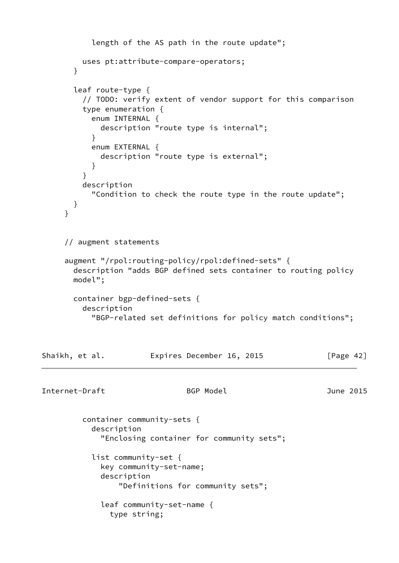```
 length of the AS path in the route update";
         uses pt:attribute-compare-operators;
       }
       leaf route-type {
         // TODO: verify extent of vendor support for this comparison
         type enumeration {
           enum INTERNAL {
             description "route type is internal";
 }
           enum EXTERNAL {
             description "route type is external";
 }
 }
         description
           "Condition to check the route type in the route update";
       }
     }
     // augment statements
     augment "/rpol:routing-policy/rpol:defined-sets" {
       description "adds BGP defined sets container to routing policy
       model";
       container bgp-defined-sets {
         description
           "BGP-related set definitions for policy match conditions";
Shaikh, et al. Expires December 16, 2015 [Page 42]
Internet-Draft BGP Model June 2015
         container community-sets {
           description
             "Enclosing container for community sets";
           list community-set {
             key community-set-name;
             description
                 "Definitions for community sets";
             leaf community-set-name {
               type string;
```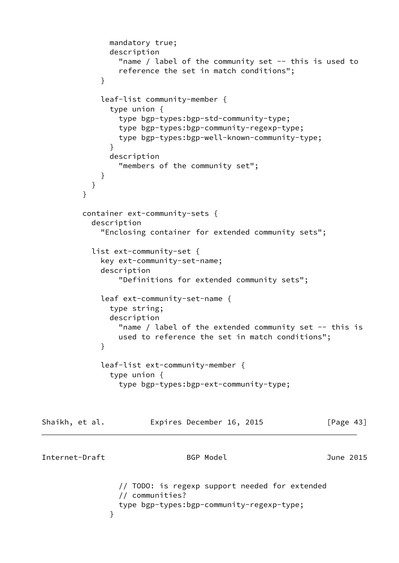```
 mandatory true;
              description
               "name / label of the community set - this is used to
                reference the set in match conditions";
 }
            leaf-list community-member {
              type union {
                type bgp-types:bgp-std-community-type;
                type bgp-types:bgp-community-regexp-type;
                type bgp-types:bgp-well-known-community-type;
 }
              description
                "members of the community set";
 }
 }
 }
         container ext-community-sets {
           description
             "Enclosing container for extended community sets";
           list ext-community-set {
            key ext-community-set-name;
            description
                "Definitions for extended community sets";
            leaf ext-community-set-name {
              type string;
              description
               "name / label of the extended community set - this is
                used to reference the set in match conditions";
 }
            leaf-list ext-community-member {
              type union {
                type bgp-types:bgp-ext-community-type;
Shaikh, et al. Expires December 16, 2015 [Page 43]
Internet-Draft BGP Model June 2015
                // TODO: is regexp support needed for extended
                // communities?
                type bgp-types:bgp-community-regexp-type;
 }
```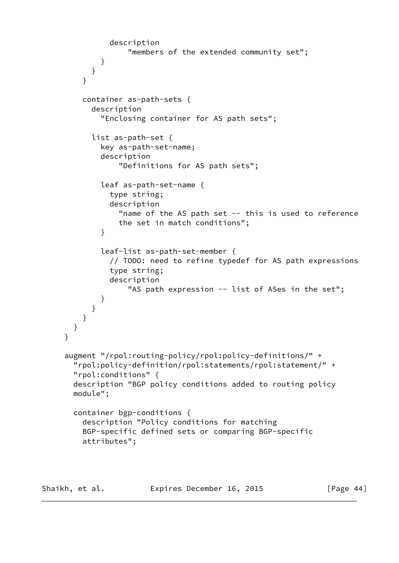```
 description
                    "members of the extended community set";
 }
 }
         }
         container as-path-sets {
           description
              "Enclosing container for AS path sets";
           list as-path-set {
             key as-path-set-name;
             description
                  "Definitions for AS path sets";
             leaf as-path-set-name {
               type string;
               description
                "name of the AS path set -- this is used to reference
                 the set in match conditions";
 }
             leaf-list as-path-set-member {
               // TODO: need to refine typedef for AS path expressions
               type string;
               description
                   "AS path expression -- list of ASes in the set";
 }
           }
         }
       }
     }
     augment "/rpol:routing-policy/rpol:policy-definitions/" +
       "rpol:policy-definition/rpol:statements/rpol:statement/" +
       "rpol:conditions" {
       description "BGP policy conditions added to routing policy
       module";
       container bgp-conditions {
         description "Policy conditions for matching
         BGP-specific defined sets or comparing BGP-specific
         attributes";
```
Shaikh, et al. **Expires December 16, 2015** [Page 44]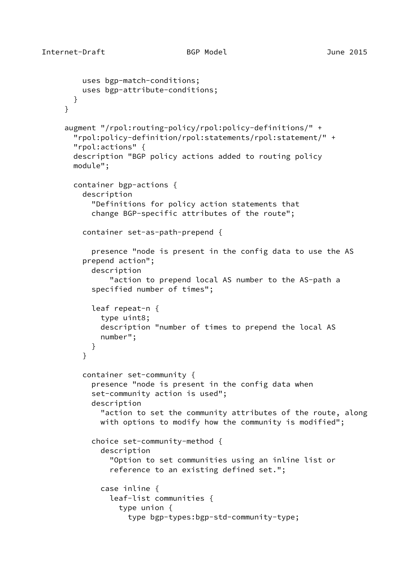```
 uses bgp-match-conditions;
          uses bgp-attribute-conditions;
       }
     }
      augment "/rpol:routing-policy/rpol:policy-definitions/" +
        "rpol:policy-definition/rpol:statements/rpol:statement/" +
        "rpol:actions" {
        description "BGP policy actions added to routing policy
        module";
        container bgp-actions {
          description
            "Definitions for policy action statements that
            change BGP-specific attributes of the route";
          container set-as-path-prepend {
            presence "node is present in the config data to use the AS
          prepend action";
            description
                "action to prepend local AS number to the AS-path a
            specified number of times";
            leaf repeat-n {
              type uint8;
              description "number of times to prepend the local AS
              number";
 }
 }
          container set-community {
            presence "node is present in the config data when
            set-community action is used";
            description
              "action to set the community attributes of the route, along
             with options to modify how the community is modified";
            choice set-community-method {
              description
                "Option to set communities using an inline list or
                reference to an existing defined set.";
              case inline {
                leaf-list communities {
                  type union {
                    type bgp-types:bgp-std-community-type;
```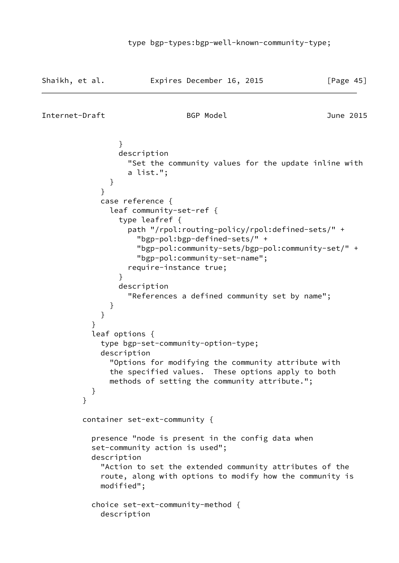```
Shaikh, et al. Expires December 16, 2015 [Page 45]
Internet-Draft BGP Model June 2015
 }
                description
                  "Set the community values for the update inline with
                 a list.";
 }
 }
            case reference {
              leaf community-set-ref {
                type leafref {
                  path "/rpol:routing-policy/rpol:defined-sets/" +
                   "bgp-pol:bgp-defined-sets/" +
                   "bgp-pol:community-sets/bgp-pol:community-set/" +
                   "bgp-pol:community-set-name";
                  require-instance true;
 }
                description
                  "References a defined community set by name";
 }
 }
 }
          leaf options {
            type bgp-set-community-option-type;
            description
              "Options for modifying the community attribute with
              the specified values. These options apply to both
              methods of setting the community attribute.";
 }
 }
         container set-ext-community {
          presence "node is present in the config data when
          set-community action is used";
          description
            "Action to set the extended community attributes of the
            route, along with options to modify how the community is
            modified";
          choice set-ext-community-method {
```

```
 description
```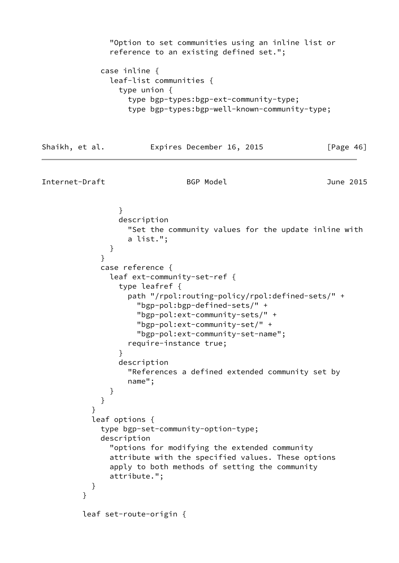```
 "Option to set communities using an inline list or
              reference to an existing defined set.";
            case inline {
              leaf-list communities {
                type union {
                  type bgp-types:bgp-ext-community-type;
                  type bgp-types:bgp-well-known-community-type;
Shaikh, et al. Expires December 16, 2015 [Page 46]
Internet-Draft BGP Model June 2015
 }
                description
                  "Set the community values for the update inline with
                  a list.";
 }
 }
            case reference {
              leaf ext-community-set-ref {
                type leafref {
                  path "/rpol:routing-policy/rpol:defined-sets/" +
                   "bgp-pol:bgp-defined-sets/" +
                   "bgp-pol:ext-community-sets/" +
                   "bgp-pol:ext-community-set/" +
                   "bgp-pol:ext-community-set-name";
                  require-instance true;
 }
                description
                  "References a defined extended community set by
                  name";
 }
 }
 }
          leaf options {
            type bgp-set-community-option-type;
            description
              "options for modifying the extended community
              attribute with the specified values. These options
              apply to both methods of setting the community
              attribute.";
 }
 }
         leaf set-route-origin {
```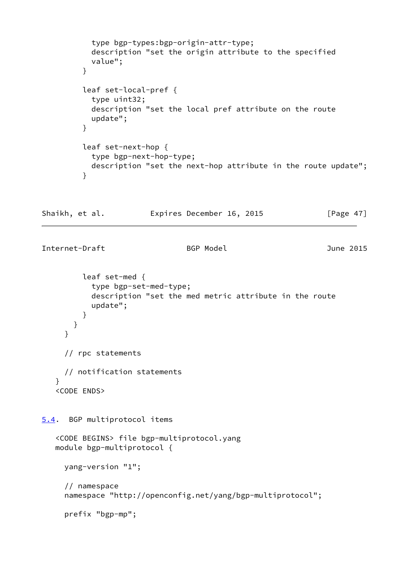```
 type bgp-types:bgp-origin-attr-type;
           description "set the origin attribute to the specified
           value";
 }
         leaf set-local-pref {
           type uint32;
           description "set the local pref attribute on the route
           update";
         }
         leaf set-next-hop {
           type bgp-next-hop-type;
           description "set the next-hop attribute in the route update";
         }
Shaikh, et al. Expires December 16, 2015 [Page 47]
Internet-Draft BGP Model June 2015
         leaf set-med {
           type bgp-set-med-type;
           description "set the med metric attribute in the route
           update";
         }
       }
     }
     // rpc statements
     // notification statements
    }
    <CODE ENDS>
5.4. BGP multiprotocol items
    <CODE BEGINS> file bgp-multiprotocol.yang
   module bgp-multiprotocol {
     yang-version "1";
     // namespace
     namespace "http://openconfig.net/yang/bgp-multiprotocol";
     prefix "bgp-mp";
```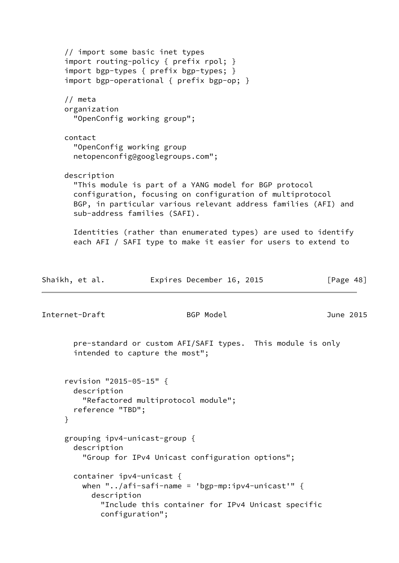```
 // import some basic inet types
      import routing-policy { prefix rpol; }
      import bgp-types { prefix bgp-types; }
      import bgp-operational { prefix bgp-op; }
      // meta
      organization
        "OpenConfig working group";
     contact
        "OpenConfig working group
       netopenconfig@googlegroups.com";
     description
        "This module is part of a YANG model for BGP protocol
       configuration, focusing on configuration of multiprotocol
       BGP, in particular various relevant address families (AFI) and
       sub-address families (SAFI).
       Identities (rather than enumerated types) are used to identify
       each AFI / SAFI type to make it easier for users to extend to
Shaikh, et al. Expires December 16, 2015 [Page 48]
Internet-Draft BGP Model June 2015
       pre-standard or custom AFI/SAFI types. This module is only
       intended to capture the most";
      revision "2015-05-15" {
       description
          "Refactored multiprotocol module";
       reference "TBD";
     }
      grouping ipv4-unicast-group {
       description
          "Group for IPv4 Unicast configuration options";
       container ipv4-unicast {
        when "../afi-safi-name = 'bgp-mp:ipv4-unicast'" \{ description
              "Include this container for IPv4 Unicast specific
             configuration";
```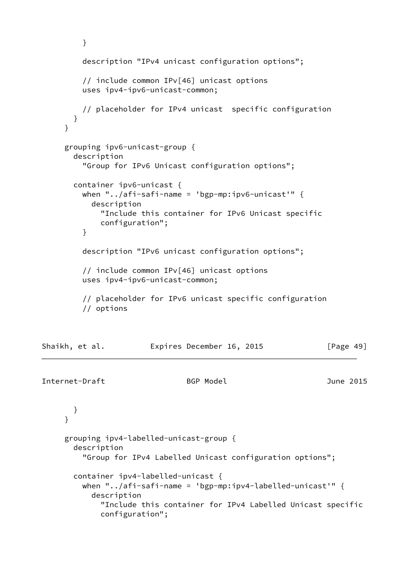```
 }
         description "IPv4 unicast configuration options";
         // include common IPv[46] unicast options
         uses ipv4-ipv6-unicast-common;
         // placeholder for IPv4 unicast specific configuration
       }
     }
     grouping ipv6-unicast-group {
       description
          "Group for IPv6 Unicast configuration options";
       container ipv6-unicast {
        when "../afi-safi-name = 'bgp-mp:ipv6-unicast'" {
           description
             "Include this container for IPv6 Unicast specific
             configuration";
         }
         description "IPv6 unicast configuration options";
         // include common IPv[46] unicast options
         uses ipv4-ipv6-unicast-common;
          // placeholder for IPv6 unicast specific configuration
          // options
Shaikh, et al. Expires December 16, 2015 [Page 49]
Internet-Draft BGP Model June 2015
       }
      }
     grouping ipv4-labelled-unicast-group {
       description
          "Group for IPv4 Labelled Unicast configuration options";
       container ipv4-labelled-unicast {
        when "../afi-safi-name = bp-mp:ipv4-labeled-unicast" {\n    { } description
             "Include this container for IPv4 Labelled Unicast specific
             configuration";
```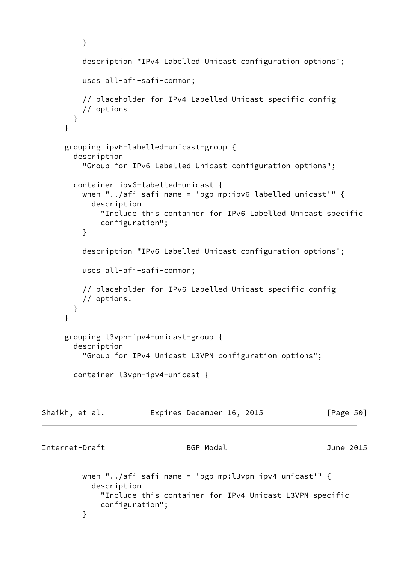```
 }
          description "IPv4 Labelled Unicast configuration options";
          uses all-afi-safi-common;
          // placeholder for IPv4 Labelled Unicast specific config
          // options
        }
      }
      grouping ipv6-labelled-unicast-group {
        description
          "Group for IPv6 Labelled Unicast configuration options";
        container ipv6-labelled-unicast {
          when "../afi-safi-name = 'bgp-mp:ipv6-labelled-unicast'" {
            description
              "Include this container for IPv6 Labelled Unicast specific
              configuration";
          }
          description "IPv6 Labelled Unicast configuration options";
          uses all-afi-safi-common;
          // placeholder for IPv6 Labelled Unicast specific config
          // options.
       }
      }
      grouping l3vpn-ipv4-unicast-group {
        description
          "Group for IPv4 Unicast L3VPN configuration options";
        container l3vpn-ipv4-unicast {
Shaikh, et al.         Expires December 16, 2015       [Page 50]
Internet-Draft BGP Model June 2015
         when "../afi-safi-name = 'bgp-mp:l3vpn-ipv4-unicast'" \{ description
              "Include this container for IPv4 Unicast L3VPN specific
              configuration";
          }
```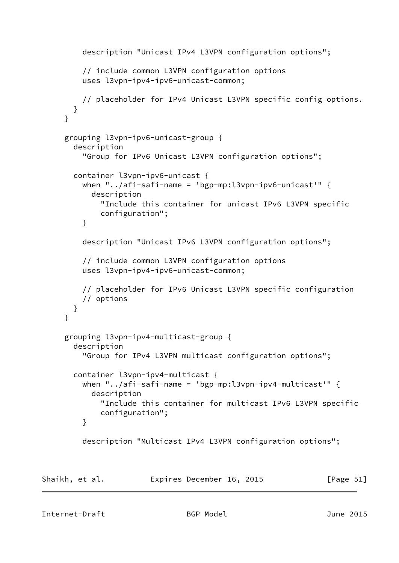```
 description "Unicast IPv4 L3VPN configuration options";
     // include common L3VPN configuration options
     uses l3vpn-ipv4-ipv6-unicast-common;
     // placeholder for IPv4 Unicast L3VPN specific config options.
   }
 }
 grouping l3vpn-ipv6-unicast-group {
   description
     "Group for IPv6 Unicast L3VPN configuration options";
   container l3vpn-ipv6-unicast {
    when "../afi-safi-name = 'bgp-mp:l3vpn-ipv6-unicast'" \{ description
         "Include this container for unicast IPv6 L3VPN specific
         configuration";
     }
     description "Unicast IPv6 L3VPN configuration options";
     // include common L3VPN configuration options
     uses l3vpn-ipv4-ipv6-unicast-common;
     // placeholder for IPv6 Unicast L3VPN specific configuration
     // options
  }
 }
 grouping l3vpn-ipv4-multicast-group {
   description
     "Group for IPv4 L3VPN multicast configuration options";
   container l3vpn-ipv4-multicast {
    when "../afi-safi-name = bp-mp:13vpn-ipv4-multicast" {
       description
         "Include this container for multicast IPv6 L3VPN specific
         configuration";
     }
     description "Multicast IPv4 L3VPN configuration options";
```
Shaikh, et al. **Expires December 16, 2015** [Page 51]

Internet-Draft BGP Model June 2015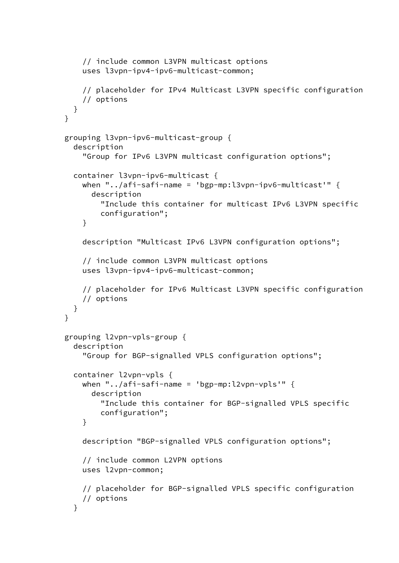```
 // include common L3VPN multicast options
     uses l3vpn-ipv4-ipv6-multicast-common;
     // placeholder for IPv4 Multicast L3VPN specific configuration
     // options
  }
 }
 grouping l3vpn-ipv6-multicast-group {
   description
     "Group for IPv6 L3VPN multicast configuration options";
   container l3vpn-ipv6-multicast {
    when "../afi-safi-name = bp-mp:13vpn-ipv6-multicast" {
       description
         "Include this container for multicast IPv6 L3VPN specific
         configuration";
     }
     description "Multicast IPv6 L3VPN configuration options";
     // include common L3VPN multicast options
     uses l3vpn-ipv4-ipv6-multicast-common;
     // placeholder for IPv6 Multicast L3VPN specific configuration
     // options
  }
 }
 grouping l2vpn-vpls-group {
   description
     "Group for BGP-signalled VPLS configuration options";
   container l2vpn-vpls {
    when "../afi-safi-name = bp-mp:12vpn-vpls" {
       description
         "Include this container for BGP-signalled VPLS specific
         configuration";
     }
     description "BGP-signalled VPLS configuration options";
     // include common L2VPN options
     uses l2vpn-common;
     // placeholder for BGP-signalled VPLS specific configuration
     // options
   }
```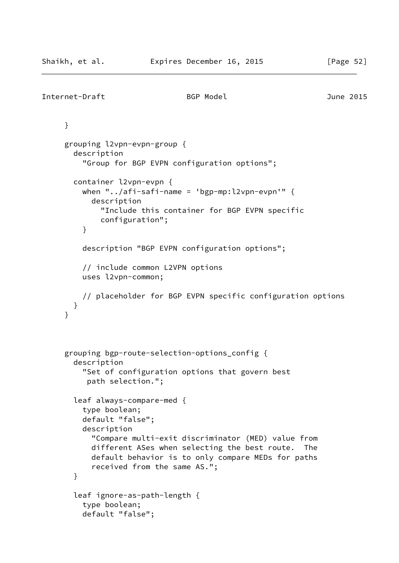```
Internet-Draft BGP Model June 2015
      }
      grouping l2vpn-evpn-group {
        description
          "Group for BGP EVPN configuration options";
        container l2vpn-evpn {
         when "../afi-safi-name = 'bgp-mp:l2vpn-evpn'" \{ description
              "Include this container for BGP EVPN specific
              configuration";
          }
          description "BGP EVPN configuration options";
          // include common L2VPN options
          uses l2vpn-common;
          // placeholder for BGP EVPN specific configuration options
       }
      }
      grouping bgp-route-selection-options_config {
        description
          "Set of configuration options that govern best
          path selection.";
        leaf always-compare-med {
          type boolean;
          default "false";
          description
            "Compare multi-exit discriminator (MED) value from
            different ASes when selecting the best route. The
            default behavior is to only compare MEDs for paths
            received from the same AS.";
        }
        leaf ignore-as-path-length {
          type boolean;
          default "false";
```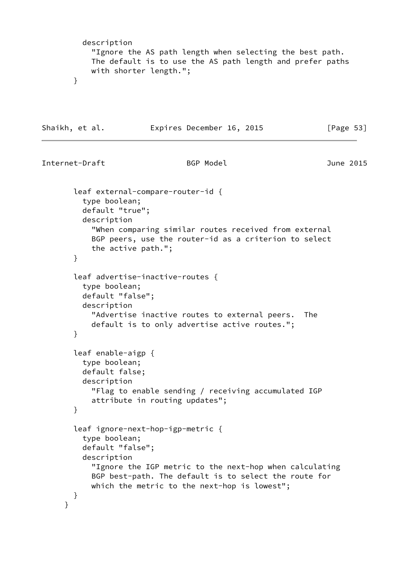```
 description
            "Ignore the AS path length when selecting the best path.
           The default is to use the AS path length and prefer paths
           with shorter length.";
       }
Shaikh, et al. Expires December 16, 2015 [Page 53]
Internet-Draft BGP Model June 2015
       leaf external-compare-router-id {
         type boolean;
         default "true";
         description
            "When comparing similar routes received from external
           BGP peers, use the router-id as a criterion to select
           the active path.";
       }
       leaf advertise-inactive-routes {
         type boolean;
         default "false";
         description
            "Advertise inactive routes to external peers. The
           default is to only advertise active routes.";
       }
       leaf enable-aigp {
         type boolean;
         default false;
         description
           "Flag to enable sending / receiving accumulated IGP
           attribute in routing updates";
       }
       leaf ignore-next-hop-igp-metric {
         type boolean;
         default "false";
         description
            "Ignore the IGP metric to the next-hop when calculating
            BGP best-path. The default is to select the route for
           which the metric to the next-hop is lowest";
       }
      }
```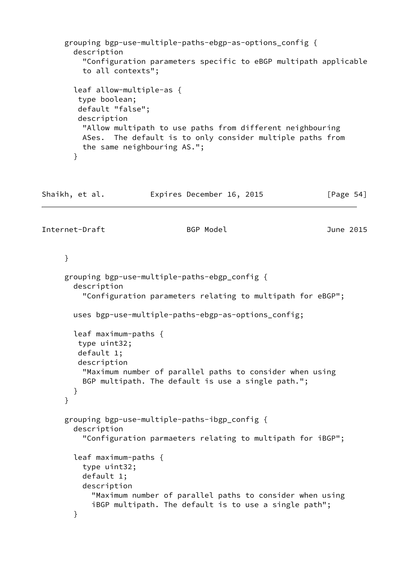```
 grouping bgp-use-multiple-paths-ebgp-as-options_config {
        description
          "Configuration parameters specific to eBGP multipath applicable
          to all contexts";
        leaf allow-multiple-as {
         type boolean;
         default "false";
         description
          "Allow multipath to use paths from different neighbouring
          ASes. The default is to only consider multiple paths from
          the same neighbouring AS.";
        }
Shaikh, et al.             Expires December 16, 2015             [Page 54]
Internet-Draft BGP Model June 2015
     }
     grouping bgp-use-multiple-paths-ebgp_config {
        description
          "Configuration parameters relating to multipath for eBGP";
        uses bgp-use-multiple-paths-ebgp-as-options_config;
        leaf maximum-paths {
        type uint32;
        default 1;
        description
          "Maximum number of parallel paths to consider when using
          BGP multipath. The default is use a single path.";
       }
     }
     grouping bgp-use-multiple-paths-ibgp_config {
        description
          "Configuration parmaeters relating to multipath for iBGP";
        leaf maximum-paths {
          type uint32;
          default 1;
          description
            "Maximum number of parallel paths to consider when using
            iBGP multipath. The default is to use a single path";
        }
```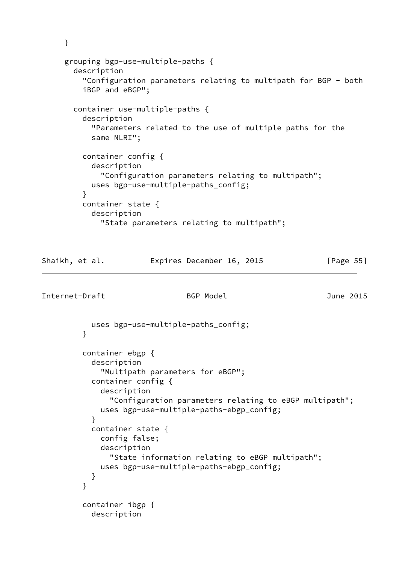```
 }
     grouping bgp-use-multiple-paths {
       description
         "Configuration parameters relating to multipath for BGP - both
         iBGP and eBGP";
       container use-multiple-paths {
         description
           "Parameters related to the use of multiple paths for the
           same NLRI";
         container config {
           description
             "Configuration parameters relating to multipath";
           uses bgp-use-multiple-paths_config;
         }
         container state {
           description
             "State parameters relating to multipath";
Shaikh, et al. Expires December 16, 2015 [Page 55]
Internet-Draft BGP Model June 2015
           uses bgp-use-multiple-paths_config;
 }
         container ebgp {
           description
             "Multipath parameters for eBGP";
           container config {
             description
               "Configuration parameters relating to eBGP multipath";
             uses bgp-use-multiple-paths-ebgp_config;
 }
           container state {
             config false;
             description
               "State information relating to eBGP multipath";
             uses bgp-use-multiple-paths-ebgp_config;
 }
         }
         container ibgp {
           description
```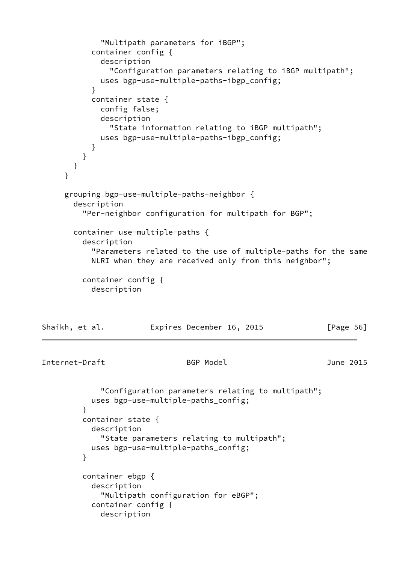```
 "Multipath parameters for iBGP";
           container config {
             description
               "Configuration parameters relating to iBGP multipath";
             uses bgp-use-multiple-paths-ibgp_config;
 }
           container state {
             config false;
             description
               "State information relating to iBGP multipath";
             uses bgp-use-multiple-paths-ibgp_config;
 }
         }
       }
     }
     grouping bgp-use-multiple-paths-neighbor {
       description
         "Per-neighbor configuration for multipath for BGP";
       container use-multiple-paths {
         description
           "Parameters related to the use of multiple-paths for the same
           NLRI when they are received only from this neighbor";
         container config {
           description
Shaikh, et al. Expires December 16, 2015 [Page 56]
Internet-Draft BGP Model June 2015
             "Configuration parameters relating to multipath";
           uses bgp-use-multiple-paths_config;
 }
         container state {
           description
             "State parameters relating to multipath";
           uses bgp-use-multiple-paths_config;
 }
         container ebgp {
           description
             "Multipath configuration for eBGP";
           container config {
             description
```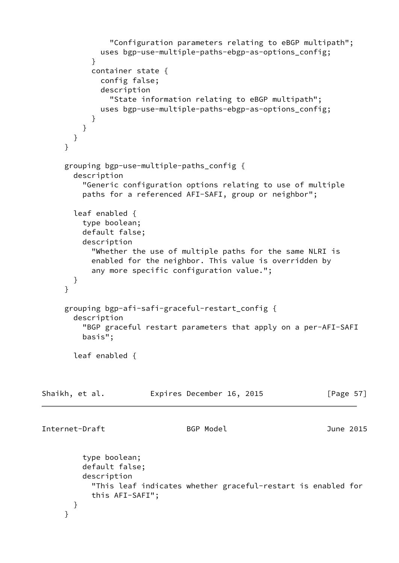```
 "Configuration parameters relating to eBGP multipath";
             uses bgp-use-multiple-paths-ebgp-as-options_config;
 }
            container state {
             config false;
              description
                "State information relating to eBGP multipath";
              uses bgp-use-multiple-paths-ebgp-as-options_config;
           }
         }
       }
     }
     grouping bgp-use-multiple-paths_config {
       description
          "Generic configuration options relating to use of multiple
          paths for a referenced AFI-SAFI, group or neighbor";
       leaf enabled {
          type boolean;
          default false;
          description
            "Whether the use of multiple paths for the same NLRI is
            enabled for the neighbor. This value is overridden by
            any more specific configuration value.";
       }
     }
     grouping bgp-afi-safi-graceful-restart_config {
       description
          "BGP graceful restart parameters that apply on a per-AFI-SAFI
          basis";
       leaf enabled {
Shaikh, et al.             Expires December 16, 2015             [Page 57]
Internet-Draft BGP Model June 2015
          type boolean;
          default false;
          description
            "This leaf indicates whether graceful-restart is enabled for
           this AFI-SAFI";
       }
     }
```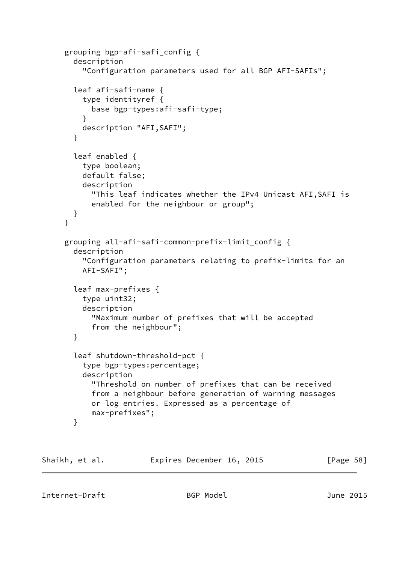```
 grouping bgp-afi-safi_config {
        description
          "Configuration parameters used for all BGP AFI-SAFIs";
        leaf afi-safi-name {
          type identityref {
            base bgp-types:afi-safi-type;
 }
          description "AFI,SAFI";
        }
        leaf enabled {
          type boolean;
          default false;
          description
            "This leaf indicates whether the IPv4 Unicast AFI,SAFI is
            enabled for the neighbour or group";
        }
      }
      grouping all-afi-safi-common-prefix-limit_config {
        description
          "Configuration parameters relating to prefix-limits for an
          AFI-SAFI";
        leaf max-prefixes {
          type uint32;
          description
            "Maximum number of prefixes that will be accepted
            from the neighbour";
        }
        leaf shutdown-threshold-pct {
          type bgp-types:percentage;
          description
            "Threshold on number of prefixes that can be received
            from a neighbour before generation of warning messages
            or log entries. Expressed as a percentage of
            max-prefixes";
        }
```

| Shaikh, et al. | Expires December 16, 2015 | [Page 58] |
|----------------|---------------------------|-----------|
|                |                           |           |

Internet-Draft BGP Model June 2015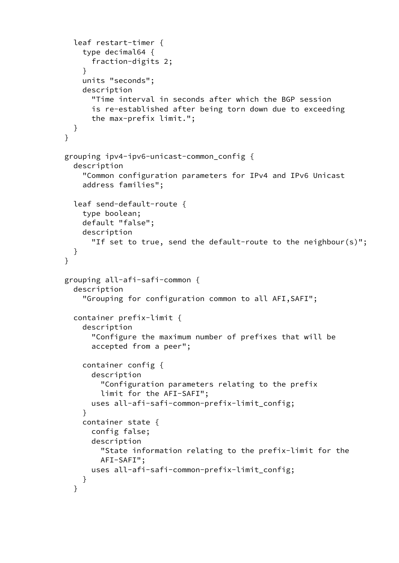```
 leaf restart-timer {
          type decimal64 {
            fraction-digits 2;
 }
          units "seconds";
          description
            "Time interval in seconds after which the BGP session
            is re-established after being torn down due to exceeding
            the max-prefix limit.";
       }
      }
      grouping ipv4-ipv6-unicast-common_config {
        description
          "Common configuration parameters for IPv4 and IPv6 Unicast
          address families";
        leaf send-default-route {
          type boolean;
          default "false";
          description
            "If set to true, send the default-route to the neighbour(s)";
        }
      }
      grouping all-afi-safi-common {
        description
          "Grouping for configuration common to all AFI,SAFI";
        container prefix-limit {
          description
            "Configure the maximum number of prefixes that will be
            accepted from a peer";
          container config {
            description
              "Configuration parameters relating to the prefix
              limit for the AFI-SAFI";
            uses all-afi-safi-common-prefix-limit_config;
          }
          container state {
            config false;
            description
              "State information relating to the prefix-limit for the
              AFI-SAFI";
            uses all-afi-safi-common-prefix-limit_config;
          }
        }
```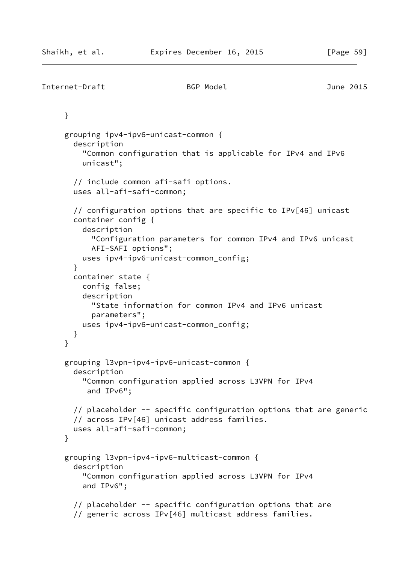```
Internet-Draft BGP Model June 2015
      }
      grouping ipv4-ipv6-unicast-common {
        description
          "Common configuration that is applicable for IPv4 and IPv6
          unicast";
        // include common afi-safi options.
        uses all-afi-safi-common;
        // configuration options that are specific to IPv[46] unicast
        container config {
          description
            "Configuration parameters for common IPv4 and IPv6 unicast
            AFI-SAFI options";
          uses ipv4-ipv6-unicast-common_config;
        }
        container state {
          config false;
          description
            "State information for common IPv4 and IPv6 unicast
            parameters";
          uses ipv4-ipv6-unicast-common_config;
        }
      }
      grouping l3vpn-ipv4-ipv6-unicast-common {
        description
          "Common configuration applied across L3VPN for IPv4
           and IPv6";
        // placeholder -- specific configuration options that are generic
        // across IPv[46] unicast address families.
        uses all-afi-safi-common;
      }
      grouping l3vpn-ipv4-ipv6-multicast-common {
        description
          "Common configuration applied across L3VPN for IPv4
          and IPv6";
        // placeholder -- specific configuration options that are
        // generic across IPv[46] multicast address families.
```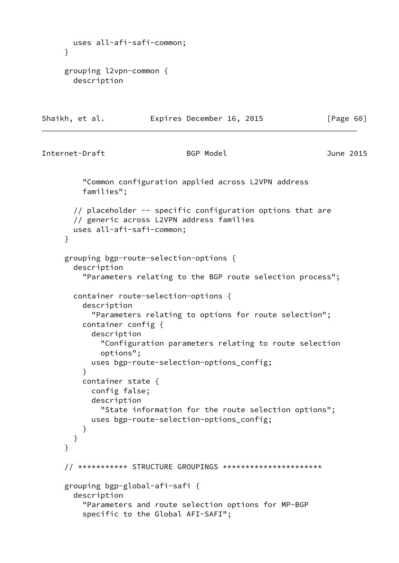```
 uses all-afi-safi-common;
     }
     grouping l2vpn-common {
       description
Shaikh, et al. Expires December 16, 2015 [Page 60]
Internet-Draft BGP Model BGP Model June 2015
          "Common configuration applied across L2VPN address
          families";
       // placeholder -- specific configuration options that are
       // generic across L2VPN address families
       uses all-afi-safi-common;
     }
     grouping bgp-route-selection-options {
       description
          "Parameters relating to the BGP route selection process";
       container route-selection-options {
         description
            "Parameters relating to options for route selection";
         container config {
            description
              "Configuration parameters relating to route selection
             options";
           uses bgp-route-selection-options_config;
 }
         container state {
           config false;
           description
              "State information for the route selection options";
           uses bgp-route-selection-options_config;
         }
       }
     }
     // *********** STRUCTURE GROUPINGS **********************
     grouping bgp-global-afi-safi {
       description
          "Parameters and route selection options for MP-BGP
          specific to the Global AFI-SAFI";
```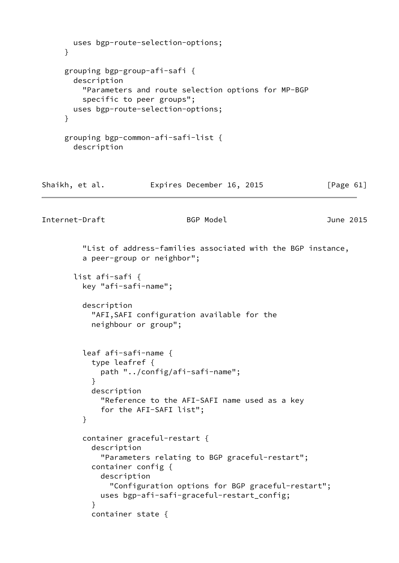```
 uses bgp-route-selection-options;
     }
     grouping bgp-group-afi-safi {
       description
         "Parameters and route selection options for MP-BGP
         specific to peer groups";
       uses bgp-route-selection-options;
     }
     grouping bgp-common-afi-safi-list {
       description
Shaikh, et al. Expires December 16, 2015 [Page 61]
Internet-Draft BGP Model BGP Model June 2015
         "List of address-families associated with the BGP instance,
         a peer-group or neighbor";
       list afi-safi {
         key "afi-safi-name";
         description
           "AFI,SAFI configuration available for the
           neighbour or group";
         leaf afi-safi-name {
           type leafref {
             path "../config/afi-safi-name";
 }
           description
             "Reference to the AFI-SAFI name used as a key
             for the AFI-SAFI list";
         }
         container graceful-restart {
           description
             "Parameters relating to BGP graceful-restart";
           container config {
             description
               "Configuration options for BGP graceful-restart";
             uses bgp-afi-safi-graceful-restart_config;
 }
           container state {
```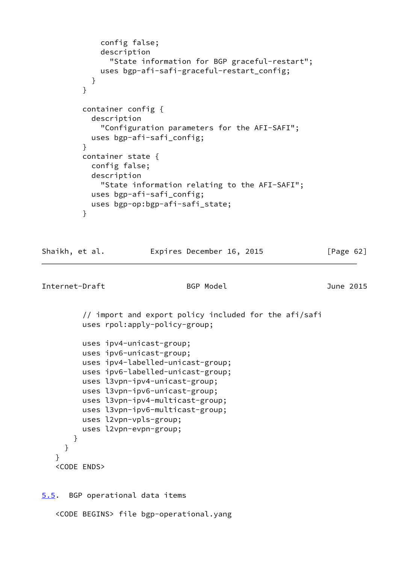```
 config false;
             description
               "State information for BGP graceful-restart";
             uses bgp-afi-safi-graceful-restart_config;
 }
         }
         container config {
           description
             "Configuration parameters for the AFI-SAFI";
           uses bgp-afi-safi_config;
 }
         container state {
           config false;
           description
             "State information relating to the AFI-SAFI";
           uses bgp-afi-safi_config;
           uses bgp-op:bgp-afi-safi_state;
 }
Shaikh, et al. Expires December 16, 2015 [Page 62]
Internet-Draft BGP Model June 2015
         // import and export policy included for the afi/safi
         uses rpol:apply-policy-group;
         uses ipv4-unicast-group;
         uses ipv6-unicast-group;
         uses ipv4-labelled-unicast-group;
         uses ipv6-labelled-unicast-group;
         uses l3vpn-ipv4-unicast-group;
         uses l3vpn-ipv6-unicast-group;
         uses l3vpn-ipv4-multicast-group;
         uses l3vpn-ipv6-multicast-group;
         uses l2vpn-vpls-group;
         uses l2vpn-evpn-group;
       }
     }
    }
    <CODE ENDS>
5.5. BGP operational data items
```
<span id="page-70-0"></span><CODE BEGINS> file bgp-operational.yang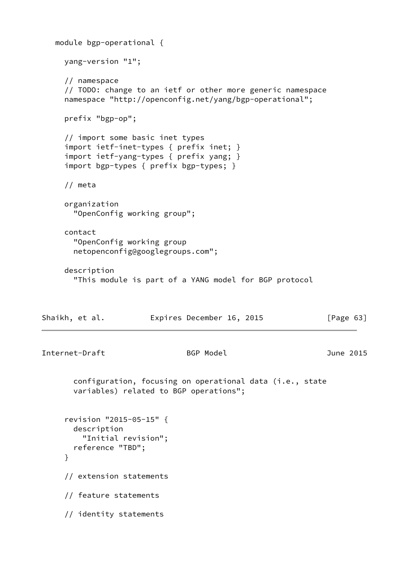```
 module bgp-operational {
     yang-version "1";
     // namespace
      // TODO: change to an ietf or other more generic namespace
     namespace "http://openconfig.net/yang/bgp-operational";
     prefix "bgp-op";
      // import some basic inet types
     import ietf-inet-types { prefix inet; }
      import ietf-yang-types { prefix yang; }
      import bgp-types { prefix bgp-types; }
     // meta
     organization
       "OpenConfig working group";
     contact
       "OpenConfig working group
       netopenconfig@googlegroups.com";
     description
       "This module is part of a YANG model for BGP protocol
Shaikh, et al. Expires December 16, 2015 [Page 63]
Internet-Draft BGP Model June 2015
       configuration, focusing on operational data (i.e., state
       variables) related to BGP operations";
      revision "2015-05-15" {
       description
         "Initial revision";
       reference "TBD";
     }
     // extension statements
     // feature statements
      // identity statements
```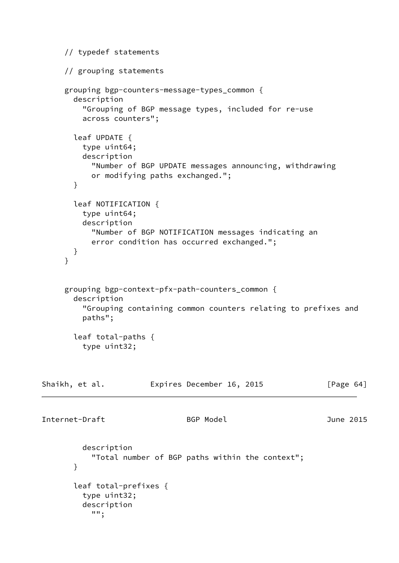```
 // typedef statements
      // grouping statements
     grouping bgp-counters-message-types_common {
       description
          "Grouping of BGP message types, included for re-use
         across counters";
       leaf UPDATE {
         type uint64;
         description
            "Number of BGP UPDATE messages announcing, withdrawing
           or modifying paths exchanged.";
       }
       leaf NOTIFICATION {
         type uint64;
         description
            "Number of BGP NOTIFICATION messages indicating an
           error condition has occurred exchanged.";
       }
     }
     grouping bgp-context-pfx-path-counters_common {
       description
          "Grouping containing common counters relating to prefixes and
         paths";
       leaf total-paths {
         type uint32;
Shaikh, et al. Expires December 16, 2015 [Page 64]
Internet-Draft BGP Model June 2015
         description
            "Total number of BGP paths within the context";
       }
       leaf total-prefixes {
         type uint32;
         description
            "";
```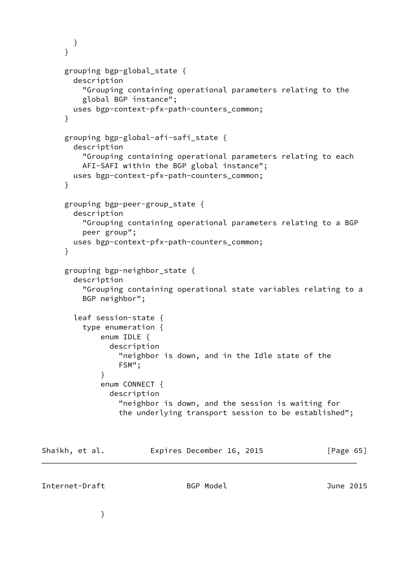```
 }
      }
      grouping bgp-global_state {
        description
          "Grouping containing operational parameters relating to the
          global BGP instance";
        uses bgp-context-pfx-path-counters_common;
      }
      grouping bgp-global-afi-safi_state {
        description
          "Grouping containing operational parameters relating to each
          AFI-SAFI within the BGP global instance";
        uses bgp-context-pfx-path-counters_common;
      }
      grouping bgp-peer-group_state {
        description
          "Grouping containing operational parameters relating to a BGP
          peer group";
        uses bgp-context-pfx-path-counters_common;
      }
      grouping bgp-neighbor_state {
        description
          "Grouping containing operational state variables relating to a
          BGP neighbor";
        leaf session-state {
          type enumeration {
              enum IDLE {
                description
                  "neighbor is down, and in the Idle state of the
                  FSM";
 }
              enum CONNECT {
                description
                  "neighbor is down, and the session is waiting for
                  the underlying transport session to be established";
Shaikh, et al. Expires December 16, 2015 [Page 65]
```
Internet-Draft BGP Model June 2015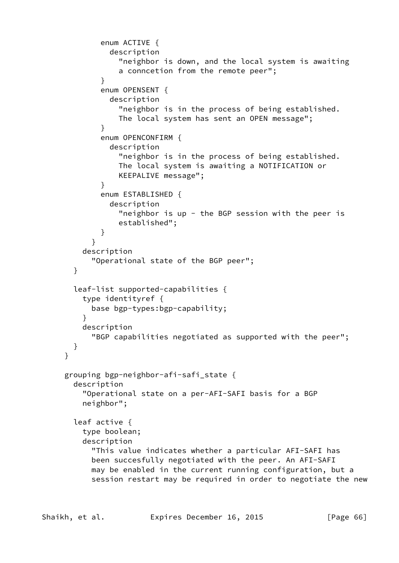```
 enum ACTIVE {
               description
                 "neighbor is down, and the local system is awaiting
                 a conncetion from the remote peer";
 }
             enum OPENSENT {
               description
                 "neighbor is in the process of being established.
                 The local system has sent an OPEN message";
 }
             enum OPENCONFIRM {
               description
                 "neighbor is in the process of being established.
                 The local system is awaiting a NOTIFICATION or
                 KEEPALIVE message";
 }
             enum ESTABLISHED {
               description
                "neighbor is up - the BGP session with the peer is
                 established";
 }
 }
         description
           "Operational state of the BGP peer";
       }
       leaf-list supported-capabilities {
         type identityref {
           base bgp-types:bgp-capability;
 }
         description
           "BGP capabilities negotiated as supported with the peer";
       }
     }
     grouping bgp-neighbor-afi-safi_state {
       description
         "Operational state on a per-AFI-SAFI basis for a BGP
         neighbor";
       leaf active {
         type boolean;
         description
           "This value indicates whether a particular AFI-SAFI has
           been succesfully negotiated with the peer. An AFI-SAFI
           may be enabled in the current running configuration, but a
           session restart may be required in order to negotiate the new
```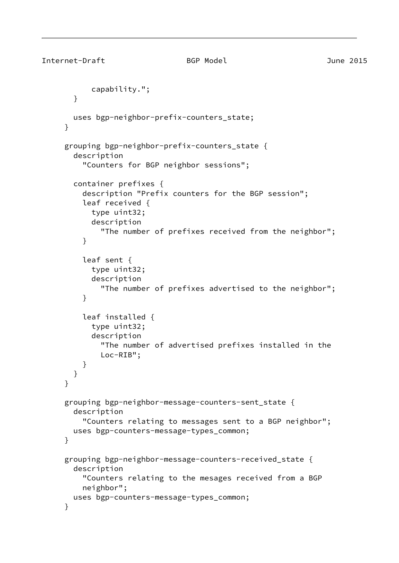```
Internet-Draft BGP Model June 2015
            capability.";
        }
        uses bgp-neighbor-prefix-counters_state;
      }
      grouping bgp-neighbor-prefix-counters_state {
        description
          "Counters for BGP neighbor sessions";
        container prefixes {
          description "Prefix counters for the BGP session";
          leaf received {
            type uint32;
            description
              "The number of prefixes received from the neighbor";
          }
          leaf sent {
            type uint32;
            description
              "The number of prefixes advertised to the neighbor";
          }
          leaf installed {
            type uint32;
            description
              "The number of advertised prefixes installed in the
              Loc-RIB";
          }
        }
      }
      grouping bgp-neighbor-message-counters-sent_state {
        description
          "Counters relating to messages sent to a BGP neighbor";
        uses bgp-counters-message-types_common;
      }
      grouping bgp-neighbor-message-counters-received_state {
        description
          "Counters relating to the mesages received from a BGP
          neighbor";
        uses bgp-counters-message-types_common;
      }
```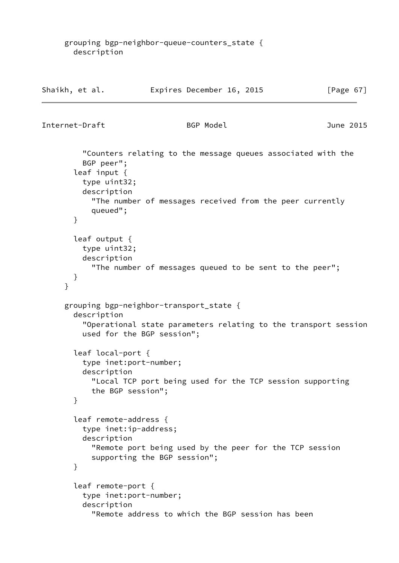grouping bgp-neighbor-queue-counters\_state { description

| Shaikh, et al. | Expires December 16, 2015 | [Page 67] |
|----------------|---------------------------|-----------|
|                |                           |           |

```
Internet-Draft BGP Model June 2015
```
 "Counters relating to the message queues associated with the BGP peer"; leaf input { type uint32; description "The number of messages received from the peer currently queued"; } leaf output { type uint32; description "The number of messages queued to be sent to the peer"; } } grouping bgp-neighbor-transport\_state { description "Operational state parameters relating to the transport session used for the BGP session"; leaf local-port { type inet:port-number; description "Local TCP port being used for the TCP session supporting the BGP session"; } leaf remote-address { type inet:ip-address; description "Remote port being used by the peer for the TCP session supporting the BGP session"; } leaf remote-port { type inet:port-number; description "Remote address to which the BGP session has been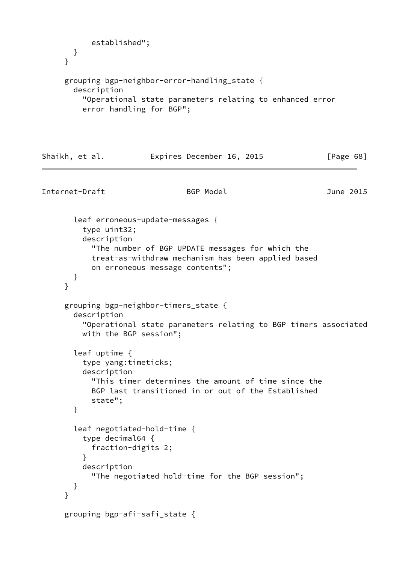```
 established";
       }
     }
     grouping bgp-neighbor-error-handling_state {
       description
          "Operational state parameters relating to enhanced error
         error handling for BGP";
Shaikh, et al. Expires December 16, 2015 [Page 68]
Internet-Draft BGP Model June 2015
       leaf erroneous-update-messages {
         type uint32;
         description
            "The number of BGP UPDATE messages for which the
           treat-as-withdraw mechanism has been applied based
           on erroneous message contents";
       }
     }
     grouping bgp-neighbor-timers_state {
       description
          "Operational state parameters relating to BGP timers associated
         with the BGP session";
       leaf uptime {
         type yang:timeticks;
         description
            "This timer determines the amount of time since the
            BGP last transitioned in or out of the Established
            state";
       }
       leaf negotiated-hold-time {
         type decimal64 {
           fraction-digits 2;
         }
         description
            "The negotiated hold-time for the BGP session";
       }
     }
     grouping bgp-afi-safi_state {
```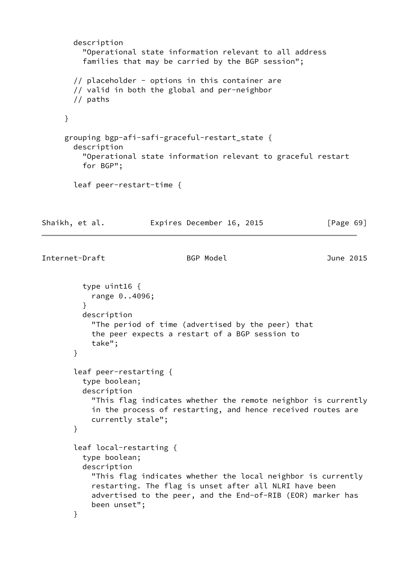```
 description
          "Operational state information relevant to all address
          families that may be carried by the BGP session";
        // placeholder - options in this container are
        // valid in both the global and per-neighbor
        // paths
      }
      grouping bgp-afi-safi-graceful-restart_state {
        description
          "Operational state information relevant to graceful restart
          for BGP";
        leaf peer-restart-time {
Shaikh, et al.           Expires December 16, 2015             [Page 69]
Internet-Draft BGP Model June 2015
          type uint16 {
            range 0..4096;
 }
          description
            "The period of time (advertised by the peer) that
            the peer expects a restart of a BGP session to
            take";
        }
        leaf peer-restarting {
          type boolean;
          description
            "This flag indicates whether the remote neighbor is currently
            in the process of restarting, and hence received routes are
            currently stale";
        }
        leaf local-restarting {
          type boolean;
          description
            "This flag indicates whether the local neighbor is currently
            restarting. The flag is unset after all NLRI have been
            advertised to the peer, and the End-of-RIB (EOR) marker has
            been unset";
        }
```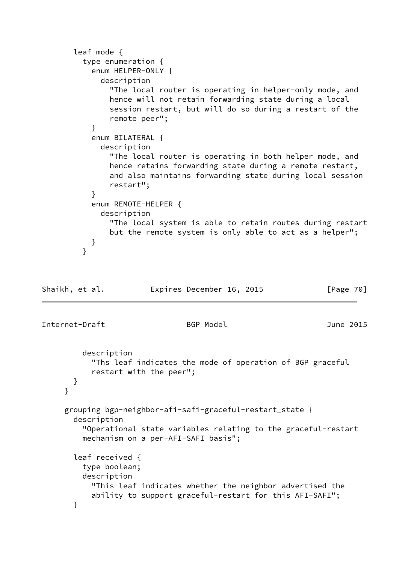```
 leaf mode {
         type enumeration {
           enum HELPER-ONLY {
             description
               "The local router is operating in helper-only mode, and
               hence will not retain forwarding state during a local
               session restart, but will do so during a restart of the
               remote peer";
 }
           enum BILATERAL {
             description
               "The local router is operating in both helper mode, and
               hence retains forwarding state during a remote restart,
               and also maintains forwarding state during local session
               restart";
 }
           enum REMOTE-HELPER {
             description
               "The local system is able to retain routes during restart
               but the remote system is only able to act as a helper";
           }
 }
Shaikh, et al. Expires December 16, 2015 [Page 70]
Internet-Draft BGP Model June 2015
         description
           "Ths leaf indicates the mode of operation of BGP graceful
           restart with the peer";
       }
     }
     grouping bgp-neighbor-afi-safi-graceful-restart_state {
       description
         "Operational state variables relating to the graceful-restart
         mechanism on a per-AFI-SAFI basis";
       leaf received {
         type boolean;
         description
           "This leaf indicates whether the neighbor advertised the
           ability to support graceful-restart for this AFI-SAFI";
       }
```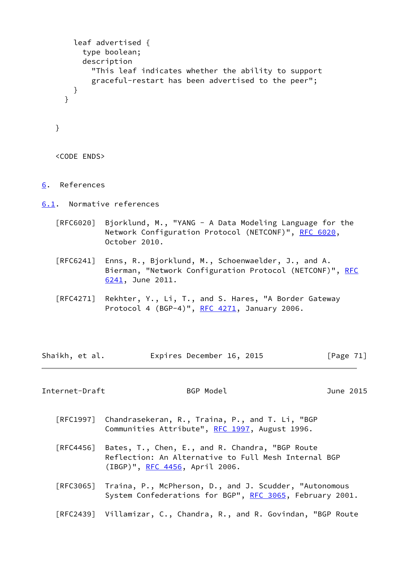```
 leaf advertised {
        type boolean;
        description
          "This leaf indicates whether the ability to support
          graceful-restart has been advertised to the peer";
      }
     }
   }
   <CODE ENDS>
6. References
6.1. Normative references
   [RFC6020] Bjorklund, M., "YANG - A Data Modeling Language for the
            RFC 6020,
            October 2010.
   [RFC6241] Enns, R., Bjorklund, M., Schoenwaelder, J., and A.
            RFC
            6241, June 2011.
   [RFC4271] Rekhter, Y., Li, T., and S. Hares, "A Border Gateway
            Protocol 4 (BGP-4)", RFC 4271, January 2006.
Shaikh, et al. Expires December 16, 2015 [Page 71]
Internet-Draft BGP Model June 2015
   [RFC1997] Chandrasekeran, R., Traina, P., and T. Li, "BGP
           RFC 1997, August 1996.
   [RFC4456] Bates, T., Chen, E., and R. Chandra, "BGP Route
            Reflection: An Alternative to Full Mesh Internal BGP
            (IBGP)", RFC 4456, April 2006.
   [RFC3065] Traina, P., McPherson, D., and J. Scudder, "Autonomous
           RFC 3065, February 2001.
```
[RFC2439] Villamizar, C., Chandra, R., and R. Govindan, "BGP Route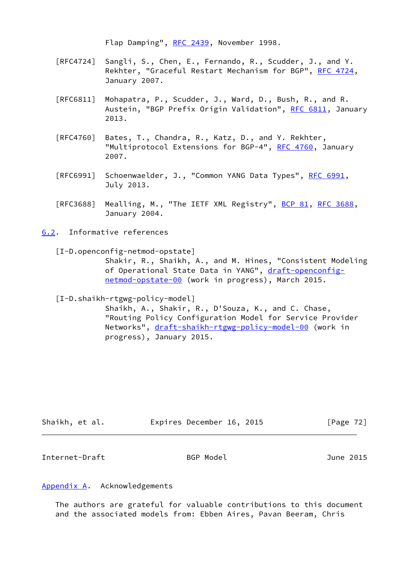Flap Damping", [RFC 2439](https://datatracker.ietf.org/doc/pdf/rfc2439), November 1998.

- [RFC4724] Sangli, S., Chen, E., Fernando, R., Scudder, J., and Y. Rekhter, "Graceful Restart Mechanism for BGP", [RFC 4724](https://datatracker.ietf.org/doc/pdf/rfc4724), January 2007.
- [RFC6811] Mohapatra, P., Scudder, J., Ward, D., Bush, R., and R. Austein, "BGP Prefix Origin Validation", [RFC 6811,](https://datatracker.ietf.org/doc/pdf/rfc6811) January 2013.
- [RFC4760] Bates, T., Chandra, R., Katz, D., and Y. Rekhter, "Multiprotocol Extensions for BGP-4", [RFC 4760](https://datatracker.ietf.org/doc/pdf/rfc4760), January 2007.
- [RFC6991] Schoenwaelder, J., "Common YANG Data Types", [RFC 6991](https://datatracker.ietf.org/doc/pdf/rfc6991), July 2013.
- [RFC3688] Mealling, M., "The IETF XML Registry", [BCP 81](https://datatracker.ietf.org/doc/pdf/bcp81), [RFC 3688](https://datatracker.ietf.org/doc/pdf/rfc3688), January 2004.
- <span id="page-81-2"></span><span id="page-81-0"></span>[6.2](#page-81-0). Informative references
	- [I-D.openconfig-netmod-opstate]

 Shakir, R., Shaikh, A., and M. Hines, "Consistent Modeling of Operational State Data in YANG", [draft-openconfig](https://datatracker.ietf.org/doc/pdf/draft-openconfig-netmod-opstate-00) [netmod-opstate-00](https://datatracker.ietf.org/doc/pdf/draft-openconfig-netmod-opstate-00) (work in progress), March 2015.

<span id="page-81-3"></span>[I-D.shaikh-rtgwg-policy-model]

 Shaikh, A., Shakir, R., D'Souza, K., and C. Chase, "Routing Policy Configuration Model for Service Provider Networks", [draft-shaikh-rtgwg-policy-model-00](https://datatracker.ietf.org/doc/pdf/draft-shaikh-rtgwg-policy-model-00) (work in progress), January 2015.

| Shaikh, et al. | Expires December 16, 2015 | [Page $72$ ] |
|----------------|---------------------------|--------------|
|                |                           |              |

Internet-Draft BGP Model June 2015

## <span id="page-81-1"></span>[Appendix A.](#page-81-1) Acknowledgements

 The authors are grateful for valuable contributions to this document and the associated models from: Ebben Aires, Pavan Beeram, Chris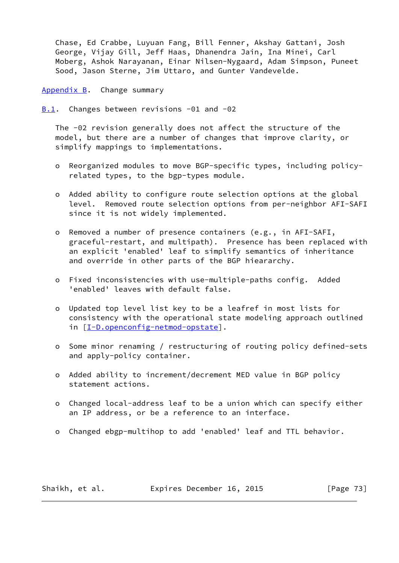Chase, Ed Crabbe, Luyuan Fang, Bill Fenner, Akshay Gattani, Josh George, Vijay Gill, Jeff Haas, Dhanendra Jain, Ina Minei, Carl Moberg, Ashok Narayanan, Einar Nilsen-Nygaard, Adam Simpson, Puneet Sood, Jason Sterne, Jim Uttaro, and Gunter Vandevelde.

<span id="page-82-0"></span>[Appendix B.](#page-82-0) Change summary

<span id="page-82-1"></span>[B.1](#page-82-1). Changes between revisions -01 and -02

 The -02 revision generally does not affect the structure of the model, but there are a number of changes that improve clarity, or simplify mappings to implementations.

- o Reorganized modules to move BGP-specific types, including policy related types, to the bgp-types module.
- o Added ability to configure route selection options at the global level. Removed route selection options from per-neighbor AFI-SAFI since it is not widely implemented.
- o Removed a number of presence containers (e.g., in AFI-SAFI, graceful-restart, and multipath). Presence has been replaced with an explicit 'enabled' leaf to simplify semantics of inheritance and override in other parts of the BGP hieararchy.
- o Fixed inconsistencies with use-multiple-paths config. Added 'enabled' leaves with default false.
- o Updated top level list key to be a leafref in most lists for consistency with the operational state modeling approach outlined in [[I-D.openconfig-netmod-opstate\]](#page-81-2).
- o Some minor renaming / restructuring of routing policy defined-sets and apply-policy container.
- o Added ability to increment/decrement MED value in BGP policy statement actions.
- o Changed local-address leaf to be a union which can specify either an IP address, or be a reference to an interface.
- o Changed ebgp-multihop to add 'enabled' leaf and TTL behavior.

Shaikh, et al. **Expires December 16, 2015** [Page 73]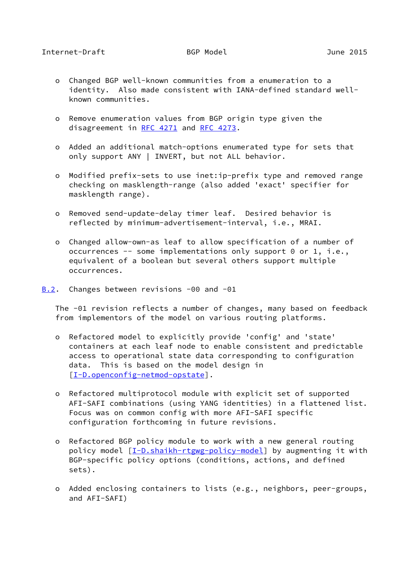- o Changed BGP well-known communities from a enumeration to a identity. Also made consistent with IANA-defined standard well known communities.
- o Remove enumeration values from BGP origin type given the disagreement in [RFC 4271](https://datatracker.ietf.org/doc/pdf/rfc4271) and [RFC 4273](https://datatracker.ietf.org/doc/pdf/rfc4273).
- o Added an additional match-options enumerated type for sets that only support ANY | INVERT, but not ALL behavior.
- o Modified prefix-sets to use inet:ip-prefix type and removed range checking on masklength-range (also added 'exact' specifier for masklength range).
- o Removed send-update-delay timer leaf. Desired behavior is reflected by minimum-advertisement-interval, i.e., MRAI.
- o Changed allow-own-as leaf to allow specification of a number of occurrences -- some implementations only support 0 or 1, i.e., equivalent of a boolean but several others support multiple occurrences.
- <span id="page-83-0"></span>[B.2](#page-83-0). Changes between revisions -00 and -01

 The -01 revision reflects a number of changes, many based on feedback from implementors of the model on various routing platforms.

- o Refactored model to explicitly provide 'config' and 'state' containers at each leaf node to enable consistent and predictable access to operational state data corresponding to configuration data. This is based on the model design in [[I-D.openconfig-netmod-opstate\]](#page-81-2).
- o Refactored multiprotocol module with explicit set of supported AFI-SAFI combinations (using YANG identities) in a flattened list. Focus was on common config with more AFI-SAFI specific configuration forthcoming in future revisions.
- o Refactored BGP policy module to work with a new general routing policy model [\[I-D.shaikh-rtgwg-policy-model](#page-81-3)] by augmenting it with BGP-specific policy options (conditions, actions, and defined sets).
- o Added enclosing containers to lists (e.g., neighbors, peer-groups, and AFI-SAFI)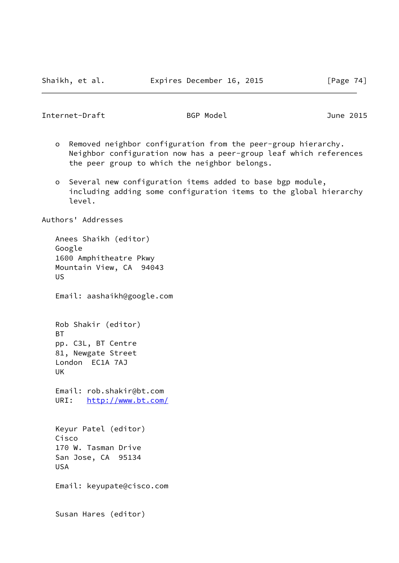Internet-Draft BGP Model BGP Model June 2015

- o Removed neighbor configuration from the peer-group hierarchy. Neighbor configuration now has a peer-group leaf which references the peer group to which the neighbor belongs.
- o Several new configuration items added to base bgp module, including adding some configuration items to the global hierarchy level.

Authors' Addresses

 Anees Shaikh (editor) Google 1600 Amphitheatre Pkwy Mountain View, CA 94043 US Email: aashaikh@google.com Rob Shakir (editor) BT pp. C3L, BT Centre 81, Newgate Street London EC1A 7AJ UK Email: rob.shakir@bt.com URI: <http://www.bt.com/> Keyur Patel (editor) Cisco 170 W. Tasman Drive San Jose, CA 95134 USA Email: keyupate@cisco.com Susan Hares (editor)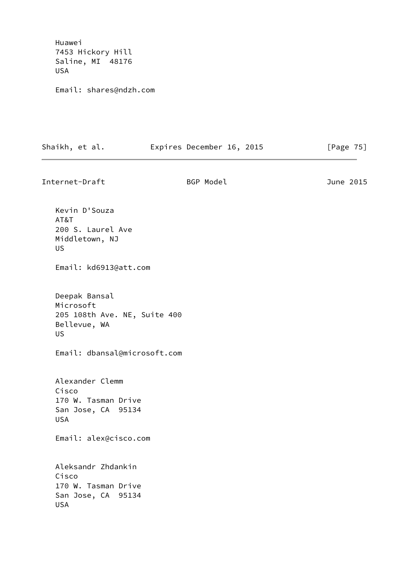Huawei 7453 Hickory Hill Saline, MI 48176 USA

Email: shares@ndzh.com

| Shaikh, et al. | Expires December 16, 2015 | [Page 75] |
|----------------|---------------------------|-----------|
|                |                           |           |

Internet-Draft BGP Model June 2015 Kevin D'Souza AT&T 200 S. Laurel Ave Middletown, NJ US Email: kd6913@att.com Deepak Bansal Microsoft 205 108th Ave. NE, Suite 400 Bellevue, WA US Email: dbansal@microsoft.com Alexander Clemm Cisco 170 W. Tasman Drive San Jose, CA 95134 USA Email: alex@cisco.com Aleksandr Zhdankin Cisco 170 W. Tasman Drive San Jose, CA 95134 USA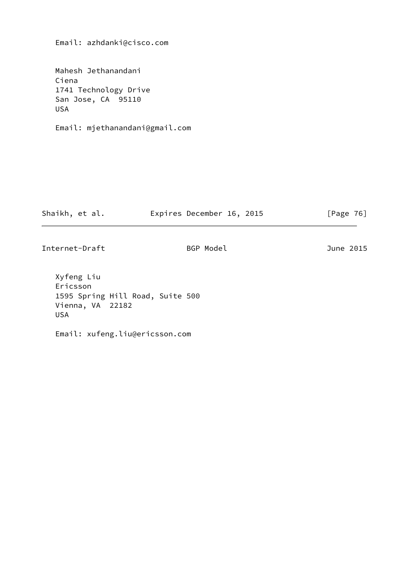Email: azhdanki@cisco.com

 Mahesh Jethanandani Ciena 1741 Technology Drive San Jose, CA 95110 USA

Email: mjethanandani@gmail.com

| Shaikh, et al. | Expires December 16, 2015 | [Page $76$ ] |  |
|----------------|---------------------------|--------------|--|
|                |                           |              |  |

Internet-Draft BGP Model BGP Model June 2015

 Xyfeng Liu Ericsson 1595 Spring Hill Road, Suite 500 Vienna, VA 22182 USA

Email: xufeng.liu@ericsson.com